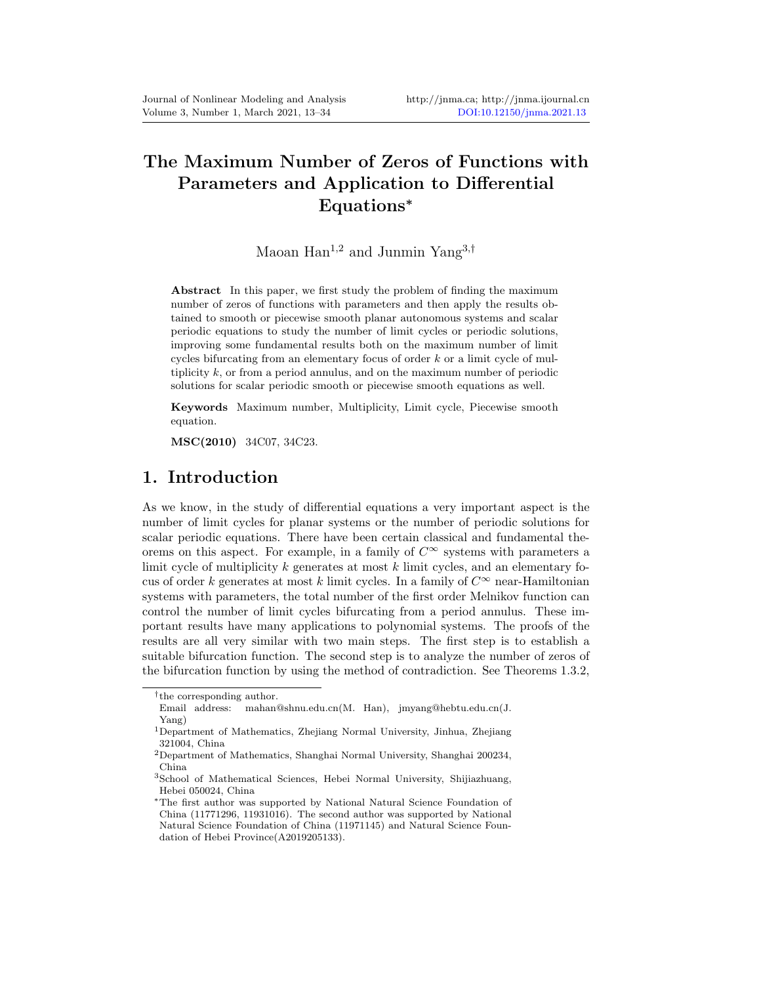# The Maximum Number of Zeros of Functions with Parameters and Application to Differential Equations<sup>∗</sup>

### Maoan Han<sup>1,2</sup> and Junmin Yang<sup>3,†</sup>

Abstract In this paper, we first study the problem of finding the maximum number of zeros of functions with parameters and then apply the results obtained to smooth or piecewise smooth planar autonomous systems and scalar periodic equations to study the number of limit cycles or periodic solutions, improving some fundamental results both on the maximum number of limit cycles bifurcating from an elementary focus of order  $k$  or a limit cycle of multiplicity  $k$ , or from a period annulus, and on the maximum number of periodic solutions for scalar periodic smooth or piecewise smooth equations as well.

Keywords Maximum number, Multiplicity, Limit cycle, Piecewise smooth equation.

MSC(2010) 34C07, 34C23.

#### 1. Introduction

As we know, in the study of differential equations a very important aspect is the number of limit cycles for planar systems or the number of periodic solutions for scalar periodic equations. There have been certain classical and fundamental theorems on this aspect. For example, in a family of  $C^{\infty}$  systems with parameters a limit cycle of multiplicity  $k$  generates at most  $k$  limit cycles, and an elementary focus of order  $k$  generates at most  $k$  limit cycles. In a family of  $C^\infty$  near-Hamiltonian systems with parameters, the total number of the first order Melnikov function can control the number of limit cycles bifurcating from a period annulus. These important results have many applications to polynomial systems. The proofs of the results are all very similar with two main steps. The first step is to establish a suitable bifurcation function. The second step is to analyze the number of zeros of the bifurcation function by using the method of contradiction. See Theorems 1.3.2,

<sup>†</sup> the corresponding author.

Email address: mahan@shnu.edu.cn(M. Han), jmyang@hebtu.edu.cn(J. Yang)

<sup>1</sup>Department of Mathematics, Zhejiang Normal University, Jinhua, Zhejiang 321004, China

<sup>2</sup>Department of Mathematics, Shanghai Normal University, Shanghai 200234, China

<sup>3</sup>School of Mathematical Sciences, Hebei Normal University, Shijiazhuang, Hebei 050024, China

<sup>∗</sup>The first author was supported by National Natural Science Foundation of China (11771296, 11931016). The second author was supported by National Natural Science Foundation of China (11971145) and Natural Science Foundation of Hebei Province(A2019205133).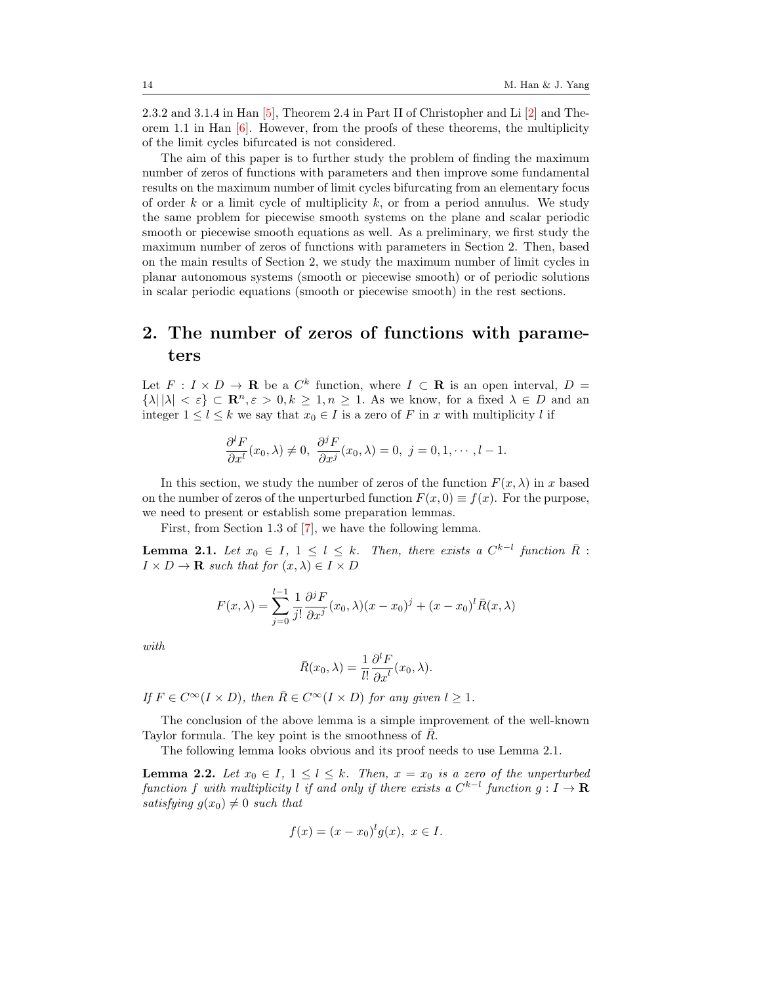2.3.2 and 3.1.4 in Han [\[5\]](#page-20-1), Theorem 2.4 in Part II of Christopher and Li [\[2\]](#page-20-2) and Theorem 1.1 in Han  $[6]$ . However, from the proofs of these theorems, the multiplicity of the limit cycles bifurcated is not considered.

The aim of this paper is to further study the problem of finding the maximum number of zeros of functions with parameters and then improve some fundamental results on the maximum number of limit cycles bifurcating from an elementary focus of order k or a limit cycle of multiplicity  $k$ , or from a period annulus. We study the same problem for piecewise smooth systems on the plane and scalar periodic smooth or piecewise smooth equations as well. As a preliminary, we first study the maximum number of zeros of functions with parameters in Section 2. Then, based on the main results of Section 2, we study the maximum number of limit cycles in planar autonomous systems (smooth or piecewise smooth) or of periodic solutions in scalar periodic equations (smooth or piecewise smooth) in the rest sections.

## 2. The number of zeros of functions with parameters

Let  $F: I \times D \to \mathbf{R}$  be a  $C^k$  function, where  $I \subset \mathbf{R}$  is an open interval,  $D =$  $\{\lambda \mid |\lambda| < \varepsilon\} \subset \mathbb{R}^n, \varepsilon > 0, k \geq 1, n \geq 1$ . As we know, for a fixed  $\lambda \in D$  and an integer  $1 \leq l \leq k$  we say that  $x_0 \in I$  is a zero of F in x with multiplicity l if

$$
\frac{\partial^l F}{\partial x^l}(x_0,\lambda)\neq 0, \ \frac{\partial^j F}{\partial x^j}(x_0,\lambda)=0, \ j=0,1,\cdots,l-1.
$$

In this section, we study the number of zeros of the function  $F(x, \lambda)$  in x based on the number of zeros of the unperturbed function  $F(x, 0) \equiv f(x)$ . For the purpose, we need to present or establish some preparation lemmas.

First, from Section 1.3 of [\[7\]](#page-20-4), we have the following lemma.

<span id="page-1-0"></span>**Lemma 2.1.** Let  $x_0 \in I$ ,  $1 \leq l \leq k$ . Then, there exists a  $C^{k-l}$  function  $\overline{R}$ :  $I \times D \to \mathbf{R}$  such that for  $(x, \lambda) \in I \times D$ 

$$
F(x,\lambda) = \sum_{j=0}^{l-1} \frac{1}{j!} \frac{\partial^j F}{\partial x^j} (x_0,\lambda)(x - x_0)^j + (x - x_0)^l \overline{R}(x,\lambda)
$$

with

$$
\bar{R}(x_0, \lambda) = \frac{1}{l!} \frac{\partial^l F}{\partial x^l}(x_0, \lambda).
$$

If  $F \in C^{\infty}(I \times D)$ , then  $\overline{R} \in C^{\infty}(I \times D)$  for any given  $l \geq 1$ .

The conclusion of the above lemma is a simple improvement of the well-known Taylor formula. The key point is the smoothness of  $R$ .

The following lemma looks obvious and its proof needs to use Lemma [2.1.](#page-1-0)

<span id="page-1-1"></span>**Lemma 2.2.** Let  $x_0 \in I$ ,  $1 \leq l \leq k$ . Then,  $x = x_0$  is a zero of the unperturbed function f with multiplicity l if and only if there exists a  $C^{k-l}$  function  $g: I \to \mathbf{R}$ satisfying  $q(x_0) \neq 0$  such that

$$
f(x) = (x - x_0)^l g(x), \ x \in I.
$$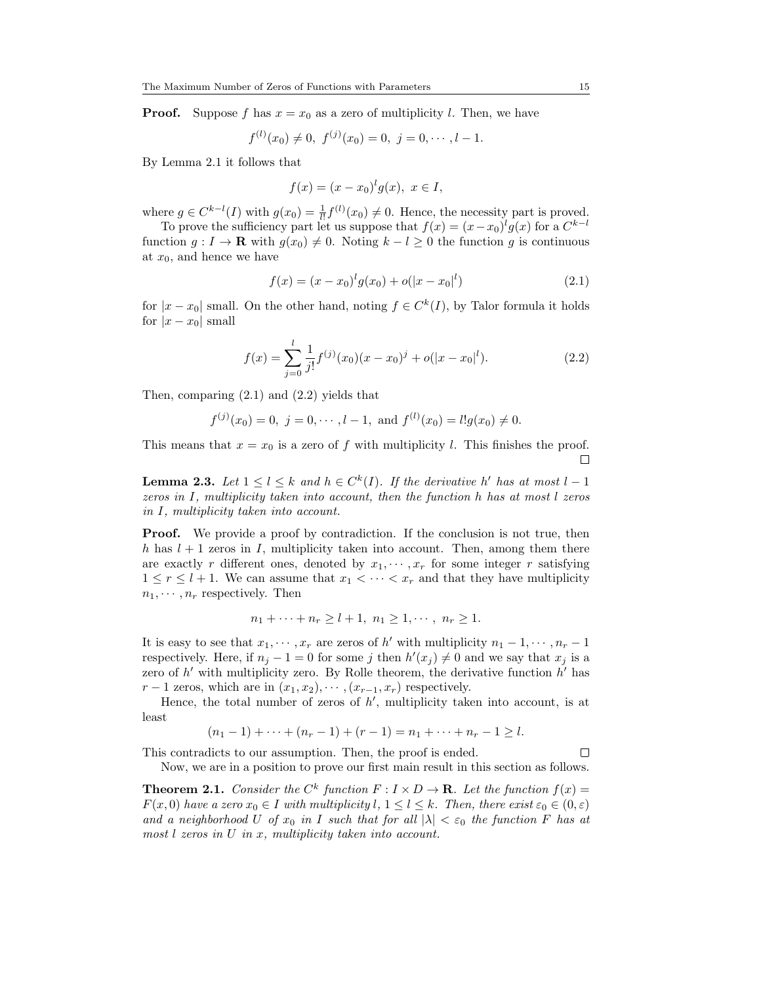**Proof.** Suppose f has  $x = x_0$  as a zero of multiplicity l. Then, we have

$$
f^{(l)}(x_0) \neq 0, \ f^{(j)}(x_0) = 0, \ j = 0, \cdots, l-1.
$$

By Lemma [2.1](#page-1-0) it follows that

$$
f(x) = (x - x_0)^l g(x), \ x \in I,
$$

where  $g \in C^{k-l}(I)$  with  $g(x_0) = \frac{1}{l!} f^{(l)}(x_0) \neq 0$ . Hence, the necessity part is proved.

To prove the sufficiency part let us suppose that  $f(x) = (x - x_0)^l g(x)$  for a  $C^{k-l}$ function  $g: I \to \mathbf{R}$  with  $g(x_0) \neq 0$ . Noting  $k - l \geq 0$  the function g is continuous at  $x_0$ , and hence we have

<span id="page-2-0"></span>
$$
f(x) = (x - x_0)^l g(x_0) + o(|x - x_0|^l)
$$
\n(2.1)

for  $|x-x_0|$  small. On the other hand, noting  $f \in C^k(I)$ , by Talor formula it holds for  $|x - x_0|$  small

<span id="page-2-1"></span>
$$
f(x) = \sum_{j=0}^{l} \frac{1}{j!} f^{(j)}(x_0)(x - x_0)^j + o(|x - x_0|^l). \tag{2.2}
$$

Then, comparing [\(2.1\)](#page-2-0) and [\(2.2\)](#page-2-1) yields that

$$
f^{(j)}(x_0) = 0
$$
,  $j = 0, \dots, l-1$ , and  $f^{(l)}(x_0) = l!g(x_0) \neq 0$ .

This means that  $x = x_0$  is a zero of f with multiplicity l. This finishes the proof.  $\Box$ 

<span id="page-2-2"></span>**Lemma 2.3.** Let  $1 \leq l \leq k$  and  $h \in C^k(I)$ . If the derivative h' has at most  $l-1$ zeros in I, multiplicity taken into account, then the function h has at most l zeros in I, multiplicity taken into account.

**Proof.** We provide a proof by contradiction. If the conclusion is not true, then h has  $l + 1$  zeros in I, multiplicity taken into account. Then, among them there are exactly r different ones, denoted by  $x_1, \dots, x_r$  for some integer r satisfying  $1 \leq r \leq l+1$ . We can assume that  $x_1 < \cdots < x_r$  and that they have multiplicity  $n_1, \cdots, n_r$  respectively. Then

$$
n_1 + \cdots + n_r \ge l+1, n_1 \ge 1, \cdots, n_r \ge 1.
$$

It is easy to see that  $x_1, \dots, x_r$  are zeros of h' with multiplicity  $n_1 - 1, \dots, n_r - 1$ respectively. Here, if  $n_j - 1 = 0$  for some j then  $h'(x_j) \neq 0$  and we say that  $x_j$  is a zero of  $h'$  with multiplicity zero. By Rolle theorem, the derivative function  $h'$  has  $r-1$  zeros, which are in  $(x_1, x_2), \cdots, (x_{r-1}, x_r)$  respectively.

Hence, the total number of zeros of  $h'$ , multiplicity taken into account, is at least

$$
(n_1 - 1) + \cdots + (n_r - 1) + (r - 1) = n_1 + \cdots + n_r - 1 \ge l.
$$

This contradicts to our assumption. Then, the proof is ended.

 $\Box$ 

Now, we are in a position to prove our first main result in this section as follows.

<span id="page-2-3"></span>**Theorem 2.1.** Consider the  $C^k$  function  $F: I \times D \to \mathbf{R}$ . Let the function  $f(x) =$  $F(x, 0)$  have a zero  $x_0 \in I$  with multiplicity  $l, 1 \leq l \leq k$ . Then, there exist  $\varepsilon_0 \in (0, \varepsilon)$ and a neighborhood U of  $x_0$  in I such that for all  $|\lambda| < \varepsilon_0$  the function F has at most  $l$  zeros in  $U$  in  $x$ , multiplicity taken into account.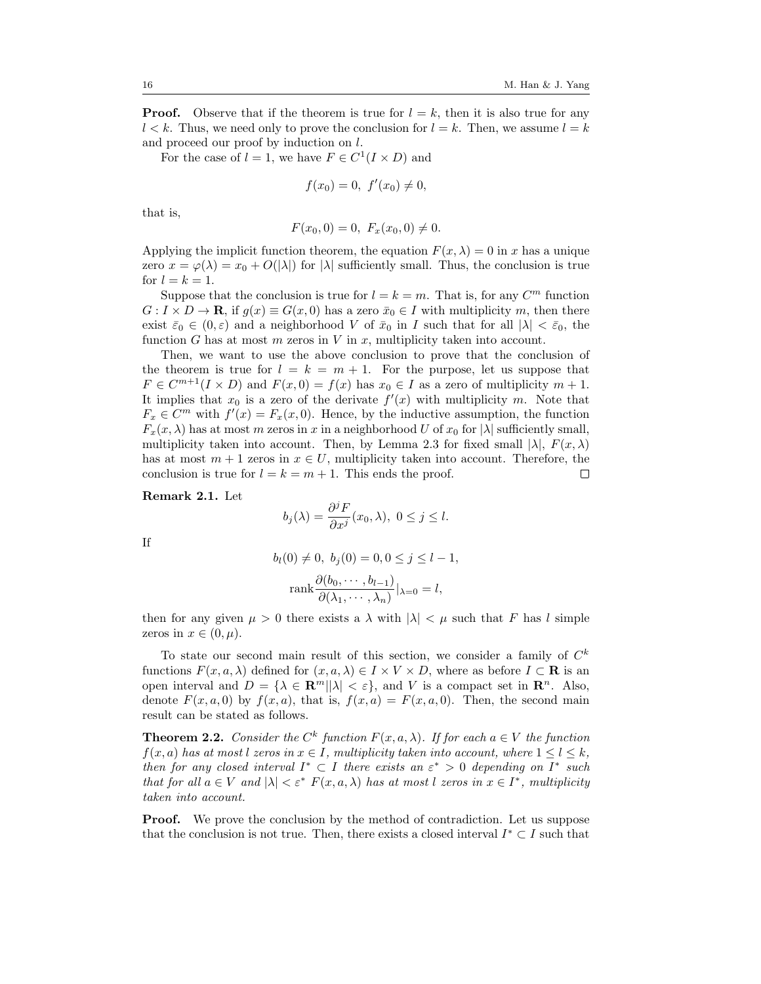**Proof.** Observe that if the theorem is true for  $l = k$ , then it is also true for any  $l < k$ . Thus, we need only to prove the conclusion for  $l = k$ . Then, we assume  $l = k$ and proceed our proof by induction on l.

For the case of  $l = 1$ , we have  $F \in C^1(I \times D)$  and

$$
f(x_0) = 0, \ f'(x_0) \neq 0,
$$

that is,

$$
F(x_0,0) = 0, F_x(x_0,0) \neq 0.
$$

Applying the implicit function theorem, the equation  $F(x, \lambda) = 0$  in x has a unique zero  $x = \varphi(\lambda) = x_0 + O(|\lambda|)$  for  $|\lambda|$  sufficiently small. Thus, the conclusion is true for  $l = k = 1$ .

Suppose that the conclusion is true for  $l = k = m$ . That is, for any  $C<sup>m</sup>$  function  $G: I \times D \to \mathbf{R}$ , if  $g(x) \equiv G(x, 0)$  has a zero  $\bar{x}_0 \in I$  with multiplicity m, then there exist  $\bar{\varepsilon}_0 \in (0,\varepsilon)$  and a neighborhood V of  $\bar{x}_0$  in I such that for all  $|\lambda| < \bar{\varepsilon}_0$ , the function G has at most  $m$  zeros in  $V$  in  $x$ , multiplicity taken into account.

Then, we want to use the above conclusion to prove that the conclusion of the theorem is true for  $l = k = m + 1$ . For the purpose, let us suppose that  $F \in C^{m+1}(I \times D)$  and  $F(x, 0) = f(x)$  has  $x_0 \in I$  as a zero of multiplicity  $m + 1$ . It implies that  $x_0$  is a zero of the derivate  $f'(x)$  with multiplicity m. Note that  $F_x \in C^m$  with  $f'(x) = F_x(x, 0)$ . Hence, by the inductive assumption, the function  $F_x(x, \lambda)$  has at most m zeros in x in a neighborhood U of  $x_0$  for  $|\lambda|$  sufficiently small, multiplicity taken into account. Then, by Lemma [2.3](#page-2-2) for fixed small  $|\lambda|$ ,  $F(x, \lambda)$ has at most  $m + 1$  zeros in  $x \in U$ , multiplicity taken into account. Therefore, the conclusion is true for  $l = k = m + 1$ . This ends the proof.  $\Box$ 

Remark 2.1. Let

$$
b_j(\lambda) = \frac{\partial^j F}{\partial x^j}(x_0, \lambda), \ 0 \le j \le l.
$$

If

$$
b_l(0) \neq 0, b_j(0) = 0, 0 \leq j \leq l - 1,
$$
  
\n
$$
rank \frac{\partial (b_0, \dots, b_{l-1})}{\partial (\lambda_1, \dots, \lambda_n)} |_{\lambda = 0} = l,
$$

then for any given  $\mu > 0$  there exists a  $\lambda$  with  $|\lambda| < \mu$  such that F has l simple zeros in  $x \in (0, \mu)$ .

To state our second main result of this section, we consider a family of  $C<sup>k</sup>$ functions  $F(x, a, \lambda)$  defined for  $(x, a, \lambda) \in I \times V \times D$ , where as before  $I \subset \mathbf{R}$  is an open interval and  $D = \{\lambda \in \mathbb{R}^m | |\lambda| < \varepsilon\}$ , and V is a compact set in  $\mathbb{R}^n$ . Also, denote  $F(x, a, 0)$  by  $f(x, a)$ , that is,  $f(x, a) = F(x, a, 0)$ . Then, the second main result can be stated as follows.

<span id="page-3-0"></span>**Theorem 2.2.** Consider the  $C^k$  function  $F(x, a, \lambda)$ . If for each  $a \in V$  the function  $f(x, a)$  has at most l zeros in  $x \in I$ , multiplicity taken into account, where  $1 \leq l \leq k$ , then for any closed interval  $I^* \subset I$  there exists an  $\varepsilon^* > 0$  depending on  $I^*$  such that for all  $a \in V$  and  $|\lambda| < \varepsilon^* F(x, a, \lambda)$  has at most l zeros in  $x \in I^*$ , multiplicity taken into account.

**Proof.** We prove the conclusion by the method of contradiction. Let us suppose that the conclusion is not true. Then, there exists a closed interval  $I^* \subset I$  such that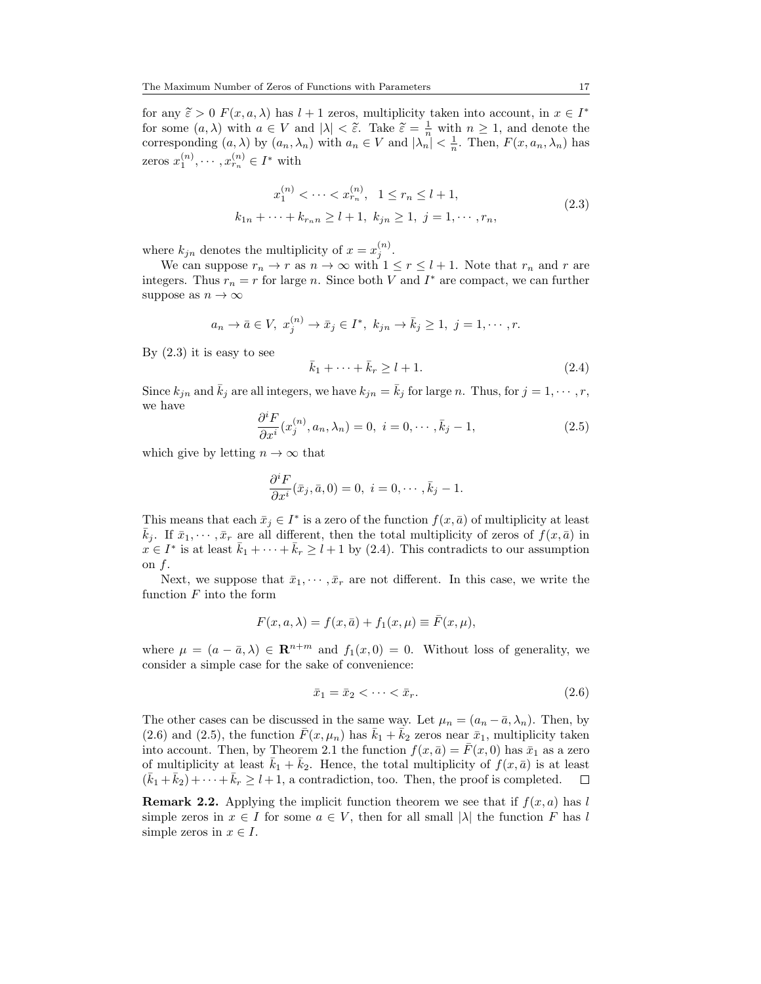for any  $\tilde{\epsilon} > 0$   $F(x, a, \lambda)$  has  $l + 1$  zeros, multiplicity taken into account, in  $x \in I^*$ <br>for some  $(a, \lambda)$  with  $a \in V$  and  $|\lambda| \leq \tilde{\epsilon}$ . Take  $\tilde{\epsilon} = \frac{1}{4}$  with  $a > 1$  and denote the for some  $(a, \lambda)$  with  $a \in V$  and  $|\lambda| < \tilde{\epsilon}$ . Take  $\tilde{\epsilon} = \frac{1}{n}$  with  $n \ge 1$ , and denote the corresponding  $(a, \lambda)$  by  $(a_n, \lambda_n)$  with  $a_n \in V$  and  $|\lambda_n| < \frac{1}{n}$ . Then,  $F(x, a_n, \lambda_n)$  has zeros  $x_1^{(n)}, \dots, x_{r_n}^{(n)} \in I^*$  with

<span id="page-4-0"></span>
$$
x_1^{(n)} < \dots < x_{r_n}^{(n)}, \quad 1 \le r_n \le l+1,
$$
  

$$
k_{1n} + \dots + k_{r_n} \ge l+1, \ k_{jn} \ge 1, \ j = 1, \dots, r_n,
$$
 (2.3)

where  $k_{jn}$  denotes the multiplicity of  $x = x_j^{(n)}$ .

We can suppose  $r_n \to r$  as  $n \to \infty$  with  $1 \le r \le l+1$ . Note that  $r_n$  and r are integers. Thus  $r_n = r$  for large n. Since both V and  $I^*$  are compact, we can further suppose as  $n \to \infty$ 

$$
a_n \to \bar{a} \in V
$$
,  $x_j^{(n)} \to \bar{x}_j \in I^*$ ,  $k_{jn} \to \bar{k}_j \ge 1$ ,  $j = 1, \dots, r$ .

By  $(2.3)$  it is easy to see

<span id="page-4-1"></span>
$$
\bar{k}_1 + \dots + \bar{k}_r \ge l + 1. \tag{2.4}
$$

Since  $k_{jn}$  and  $\bar{k}_j$  are all integers, we have  $k_{jn} = \bar{k}_j$  for large n. Thus, for  $j = 1, \dots, r$ , we have

<span id="page-4-3"></span>
$$
\frac{\partial^i F}{\partial x^i}(x_j^{(n)}, a_n, \lambda_n) = 0, \ i = 0, \cdots, \bar{k}_j - 1,
$$
\n(2.5)

which give by letting  $n \to \infty$  that

$$
\frac{\partial^i F}{\partial x^i}(\bar{x}_j, \bar{a}, 0) = 0, \ i = 0, \cdots, \bar{k}_j - 1.
$$

This means that each  $\bar{x}_j \in I^*$  is a zero of the function  $f(x, \bar{a})$  of multiplicity at least  $\bar{k}_i$ . If  $\bar{x}_1, \dots, \bar{x}_r$  are all different, then the total multiplicity of zeros of  $f(x, \bar{a})$  in  $x \in I^*$  is at least  $\bar{k}_1 + \cdots + \bar{k}_r \ge l+1$  by [\(2.4\)](#page-4-1). This contradicts to our assumption on  $f$ .

Next, we suppose that  $\bar{x}_1, \dots, \bar{x}_r$  are not different. In this case, we write the function  $F$  into the form

$$
F(x, a, \lambda) = f(x, \bar{a}) + f_1(x, \mu) \equiv \bar{F}(x, \mu),
$$

where  $\mu = (a - \bar{a}, \lambda) \in \mathbb{R}^{n+m}$  and  $f_1(x, 0) = 0$ . Without loss of generality, we consider a simple case for the sake of convenience:

<span id="page-4-2"></span>
$$
\bar{x}_1 = \bar{x}_2 < \dots < \bar{x}_r. \tag{2.6}
$$

The other cases can be discussed in the same way. Let  $\mu_n = (a_n - \bar{a}, \lambda_n)$ . Then, by [\(2.6\)](#page-4-2) and [\(2.5\)](#page-4-3), the function  $\bar{F}(x, \mu_n)$  has  $\bar{k}_1 + \bar{k}_2$  zeros near  $\bar{x}_1$ , multiplicity taken into account. Then, by Theorem [2.1](#page-2-3) the function  $f(x, \bar{a}) = F(x, 0)$  has  $\bar{x}_1$  as a zero of multiplicity at least  $\bar{k}_1 + \bar{k}_2$ . Hence, the total multiplicity of  $f(x, \bar{a})$  is at least  $(\bar{k}_1 + \bar{k}_2) + \cdots + \bar{k}_r \ge l+1$ , a contradiction, too. Then, the proof is completed.  $\Box$ 

**Remark 2.2.** Applying the implicit function theorem we see that if  $f(x, a)$  has l simple zeros in  $x \in I$  for some  $a \in V$ , then for all small  $|\lambda|$  the function F has l simple zeros in  $x \in I$ .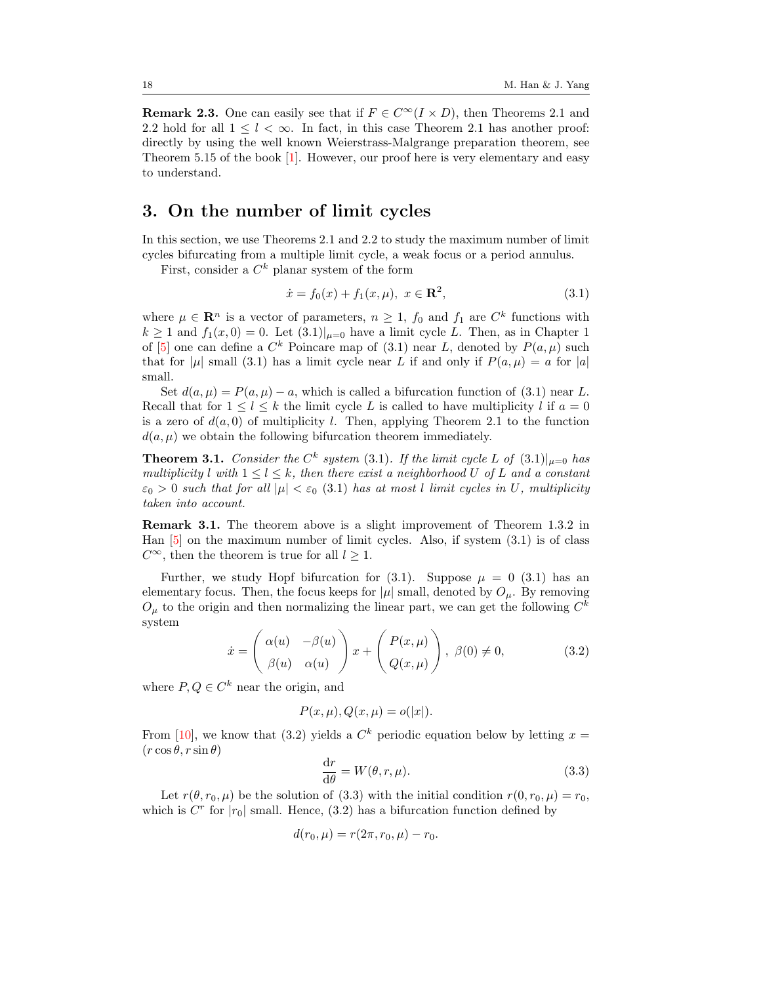**Remark 2.3.** One can easily see that if  $F \in C^{\infty}(I \times D)$ , then Theorems [2.1](#page-2-3) and [2.2](#page-3-0) hold for all  $1 \leq l < \infty$ . In fact, in this case Theorem [2.1](#page-2-3) has another proof: directly by using the well known Weierstrass-Malgrange preparation theorem, see Theorem 5.15 of the book [\[1\]](#page-20-5). However, our proof here is very elementary and easy to understand.

#### 3. On the number of limit cycles

In this section, we use Theorems [2.1](#page-2-3) and [2.2](#page-3-0) to study the maximum number of limit cycles bifurcating from a multiple limit cycle, a weak focus or a period annulus.

First, consider a  $C^k$  planar system of the form

<span id="page-5-0"></span>
$$
\dot{x} = f_0(x) + f_1(x, \mu), \ x \in \mathbf{R}^2,\tag{3.1}
$$

where  $\mu \in \mathbb{R}^n$  is a vector of parameters,  $n \geq 1$ ,  $f_0$  and  $f_1$  are  $C^k$  functions with  $k \ge 1$  and  $f_1(x,0) = 0$ . Let  $(3.1)|_{\mu=0}$  $(3.1)|_{\mu=0}$  have a limit cycle L. Then, as in Chapter 1 of [\[5\]](#page-20-1) one can define a  $C^k$  Poincare map of [\(3.1\)](#page-5-0) near L, denoted by  $P(a,\mu)$  such that for  $|\mu|$  small [\(3.1\)](#page-5-0) has a limit cycle near L if and only if  $P(a, \mu) = a$  for  $|a|$ small.

Set  $d(a, \mu) = P(a, \mu) - a$ , which is called a bifurcation function of [\(3.1\)](#page-5-0) near L. Recall that for  $1 \leq l \leq k$  the limit cycle L is called to have multiplicity l if  $a = 0$ is a zero of  $d(a, 0)$  of multiplicity l. Then, applying Theorem [2.1](#page-2-3) to the function  $d(a, \mu)$  we obtain the following bifurcation theorem immediately.

**Theorem 3.1.** Consider the  $C^k$  system [\(3.1\)](#page-5-0). If the limit cycle L of  $(3.1)|_{\mu=0}$  has multiplicity l with  $1 \leq l \leq k$ , then there exist a neighborhood U of L and a constant  $\varepsilon_0 > 0$  such that for all  $|\mu| < \varepsilon_0$  [\(3.1\)](#page-5-0) has at most l limit cycles in U, multiplicity taken into account.

Remark 3.1. The theorem above is a slight improvement of Theorem 1.3.2 in Han [\[5\]](#page-20-1) on the maximum number of limit cycles. Also, if system [\(3.1\)](#page-5-0) is of class  $C^{\infty}$ , then the theorem is true for all  $l \geq 1$ .

Further, we study Hopf bifurcation for  $(3.1)$ . Suppose  $\mu = 0$   $(3.1)$  has an elementary focus. Then, the focus keeps for  $|\mu|$  small, denoted by  $O_{\mu}$ . By removing  $O_{\mu}$  to the origin and then normalizing the linear part, we can get the following  $C^{k}$ system

<span id="page-5-1"></span>
$$
\dot{x} = \begin{pmatrix} \alpha(u) & -\beta(u) \\ \beta(u) & \alpha(u) \end{pmatrix} x + \begin{pmatrix} P(x,\mu) \\ Q(x,\mu) \end{pmatrix}, \ \beta(0) \neq 0, \tag{3.2}
$$

where  $P, Q \in \mathbb{C}^k$  near the origin, and

$$
P(x, \mu), Q(x, \mu) = o(|x|).
$$

From [\[10\]](#page-20-6), we know that [\(3.2\)](#page-5-1) yields a  $C<sup>k</sup>$  periodic equation below by letting  $x =$  $(r \cos \theta, r \sin \theta)$ 

<span id="page-5-2"></span>
$$
\frac{\mathrm{d}r}{\mathrm{d}\theta} = W(\theta, r, \mu). \tag{3.3}
$$

Let  $r(\theta, r_0, \mu)$  be the solution of [\(3.3\)](#page-5-2) with the initial condition  $r(0, r_0, \mu) = r_0$ , which is  $C<sup>r</sup>$  for  $|r_0|$  small. Hence, [\(3.2\)](#page-5-1) has a bifurcation function defined by

$$
d(r_0, \mu) = r(2\pi, r_0, \mu) - r_0.
$$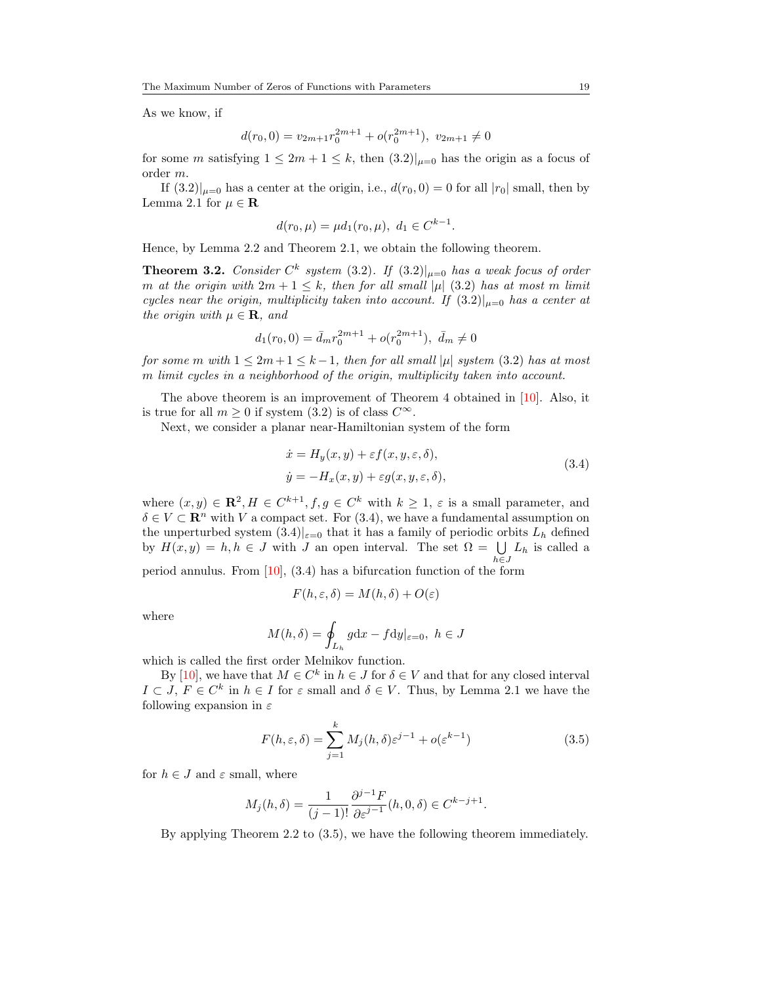As we know, if

$$
d(r_0,0) = v_{2m+1}r_0^{2m+1} + o(r_0^{2m+1}), v_{2m+1} \neq 0
$$

for some m satisfying  $1 \leq 2m + 1 \leq k$ , then  $(3.2)|_{u=0}$  $(3.2)|_{u=0}$  has the origin as a focus of order m.

If  $(3.2)|_{\mu=0}$  $(3.2)|_{\mu=0}$  has a center at the origin, i.e.,  $d(r_0, 0) = 0$  for all  $|r_0|$  small, then by Lemma [2.1](#page-1-0) for  $\mu \in \mathbf{R}$ 

$$
d(r_0, \mu) = \mu d_1(r_0, \mu), \ d_1 \in C^{k-1}
$$

Hence, by Lemma [2.2](#page-1-1) and Theorem [2.1,](#page-2-3) we obtain the following theorem.

**Theorem 3.2.** Consider  $C^k$  system [\(3.2\)](#page-5-1). If  $(3.2)|_{\mu=0}$  has a weak focus of order m at the origin with  $2m + 1 \leq k$ , then for all small  $|\mu|$  [\(3.2\)](#page-5-1) has at most m limit cycles near the origin, multiplicity taken into account. If  $(3.2)|_{\mu=0}$  $(3.2)|_{\mu=0}$  has a center at the origin with  $\mu \in \mathbf{R}$ , and

$$
d_1(r_0, 0) = \bar{d}_m r_0^{2m+1} + o(r_0^{2m+1}), \ \bar{d}_m \neq 0
$$

for some m with  $1 \leq 2m+1 \leq k-1$ , then for all small  $|\mu|$  system [\(3.2\)](#page-5-1) has at most m limit cycles in a neighborhood of the origin, multiplicity taken into account.

The above theorem is an improvement of Theorem 4 obtained in [\[10\]](#page-20-6). Also, it is true for all  $m > 0$  if system [\(3.2\)](#page-5-1) is of class  $C^{\infty}$ .

Next, we consider a planar near-Hamiltonian system of the form

<span id="page-6-0"></span>
$$
\begin{aligned} \n\dot{x} &= H_y(x, y) + \varepsilon f(x, y, \varepsilon, \delta), \\ \n\dot{y} &= -H_x(x, y) + \varepsilon g(x, y, \varepsilon, \delta), \n\end{aligned} \tag{3.4}
$$

.

where  $(x, y) \in \mathbb{R}^2$ ,  $H \in C^{k+1}$ ,  $f, g \in C^k$  with  $k \geq 1$ ,  $\varepsilon$  is a small parameter, and  $\delta \in V \subset \mathbb{R}^n$  with V a compact set. For [\(3.4\)](#page-6-0), we have a fundamental assumption on the unperturbed system  $(3.4)|_{\varepsilon=0}$  $(3.4)|_{\varepsilon=0}$  that it has a family of periodic orbits  $L_h$  defined by  $H(x, y) = h, h \in J$  with J an open interval. The set  $\Omega = \bigcup L_h$  is called a  $h \in J$ 

period annulus. From  $[10]$ ,  $(3.4)$  has a bifurcation function of the form

$$
F(h, \varepsilon, \delta) = M(h, \delta) + O(\varepsilon)
$$

where

$$
M(h,\delta) = \oint_{L_h} g \mathrm{d}x - f \mathrm{d}y|_{\varepsilon=0}, \ h \in J
$$

which is called the first order Melnikov function.

By [\[10\]](#page-20-6), we have that  $M \in \mathbb{C}^k$  in  $h \in J$  for  $\delta \in V$  and that for any closed interval  $I \subset J$ ,  $F \in C^k$  in  $h \in I$  for  $\varepsilon$  small and  $\delta \in V$ . Thus, by Lemma [2.1](#page-1-0) we have the following expansion in  $\varepsilon$ 

<span id="page-6-1"></span>
$$
F(h, \varepsilon, \delta) = \sum_{j=1}^{k} M_j(h, \delta) \varepsilon^{j-1} + o(\varepsilon^{k-1})
$$
\n(3.5)

for  $h \in J$  and  $\varepsilon$  small, where

$$
M_j(h, \delta) = \frac{1}{(j-1)!} \frac{\partial^{j-1} F}{\partial \varepsilon^{j-1}}(h, 0, \delta) \in C^{k-j+1}.
$$

By applying Theorem [2.2](#page-3-0) to [\(3.5\)](#page-6-1), we have the following theorem immediately.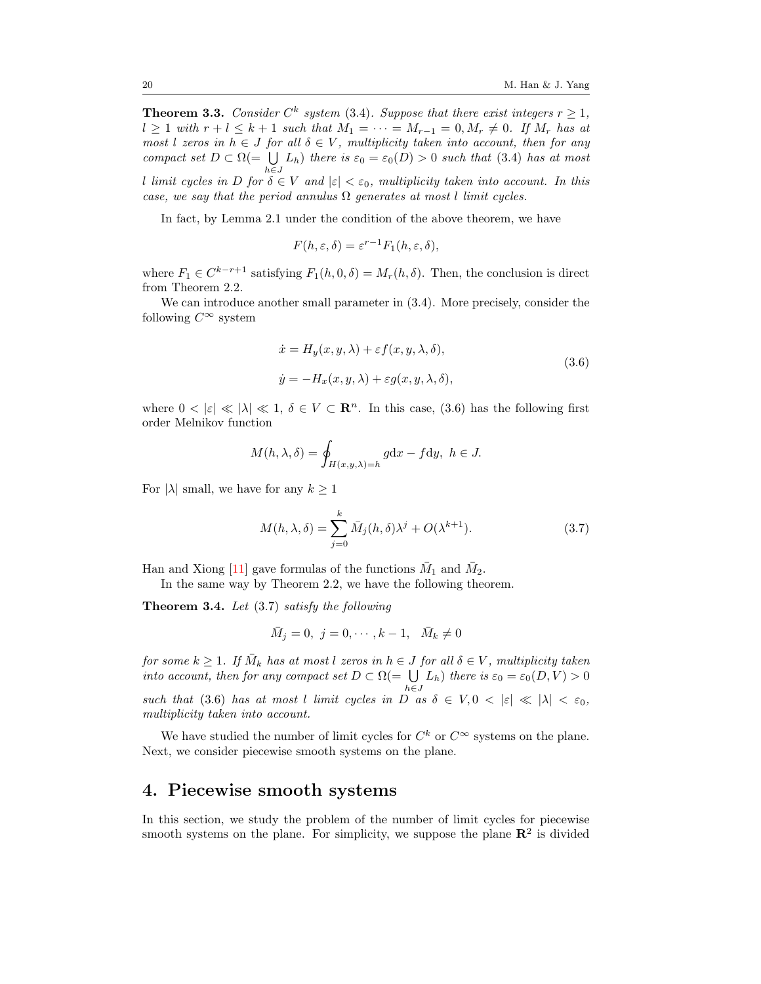**Theorem 3.3.** Consider  $C^k$  system [\(3.4\)](#page-6-0). Suppose that there exist integers  $r \geq 1$ ,  $l \geq 1$  with  $r + l \leq k + 1$  such that  $M_1 = \cdots = M_{r-1} = 0, M_r \neq 0$ . If  $M_r$  has at most l zeros in  $h \in J$  for all  $\delta \in V$ , multiplicity taken into account, then for any compact set  $D \subset \Omega$ (=  $\bigcup L_h$ ) there is  $\varepsilon_0 = \varepsilon_0(D) > 0$  such that [\(3.4\)](#page-6-0) has at most  $h\epsilon J$ l limit cycles in D for  $\delta \in V$  and  $|\varepsilon| < \varepsilon_0$ , multiplicity taken into account. In this case, we say that the period annulus  $\Omega$  generates at most l limit cycles.

In fact, by Lemma [2.1](#page-1-0) under the condition of the above theorem, we have

$$
F(h, \varepsilon, \delta) = \varepsilon^{r-1} F_1(h, \varepsilon, \delta),
$$

where  $F_1 \in C^{k-r+1}$  satisfying  $F_1(h, 0, \delta) = M_r(h, \delta)$ . Then, the conclusion is direct from Theorem [2.2.](#page-3-0)

We can introduce another small parameter in [\(3.4\)](#page-6-0). More precisely, consider the following  $C^{\infty}$  system

<span id="page-7-1"></span>
$$
\dot{x} = H_y(x, y, \lambda) + \varepsilon f(x, y, \lambda, \delta),
$$
  
\n
$$
\dot{y} = -H_x(x, y, \lambda) + \varepsilon g(x, y, \lambda, \delta),
$$
\n(3.6)

where  $0 < |\varepsilon| \ll |\lambda| \ll 1$ ,  $\delta \in V \subset \mathbb{R}^n$ . In this case, (3.6) has the following first order Melnikov function

$$
M(h, \lambda, \delta) = \oint_{H(x, y, \lambda) = h} g \mathrm{d}x - f \mathrm{d}y, \ h \in J.
$$

For  $|\lambda|$  small, we have for any  $k \geq 1$ 

<span id="page-7-0"></span>
$$
M(h,\lambda,\delta) = \sum_{j=0}^{k} \bar{M}_j(h,\delta)\lambda^j + O(\lambda^{k+1}).
$$
\n(3.7)

Han and Xiong [\[11\]](#page-20-7) gave formulas of the functions  $\bar{M}_1$  and  $\bar{M}_2$ .

In the same way by Theorem [2.2,](#page-3-0) we have the following theorem.

<span id="page-7-2"></span>**Theorem 3.4.** Let  $(3.7)$  satisfy the following

$$
\bar{M}_j = 0, \ j = 0, \cdots, k - 1, \ \bar{M}_k \neq 0
$$

for some  $k \geq 1$ . If  $\overline{M}_k$  has at most l zeros in  $h \in J$  for all  $\delta \in V$ , multiplicity taken into account, then for any compact set  $D \subset \Omega (= \bigcup L_h)$  there is  $\varepsilon_0 = \varepsilon_0(D, V) > 0$  $h\bar{\in}J$ such that [\(3.6\)](#page-7-1) has at most l limit cycles in D as  $\delta \in V, 0 < |\varepsilon| \ll |\lambda| < \varepsilon_0$ , multiplicity taken into account.

We have studied the number of limit cycles for  $C^k$  or  $C^{\infty}$  systems on the plane. Next, we consider piecewise smooth systems on the plane.

#### 4. Piecewise smooth systems

In this section, we study the problem of the number of limit cycles for piecewise smooth systems on the plane. For simplicity, we suppose the plane  $\mathbb{R}^2$  is divided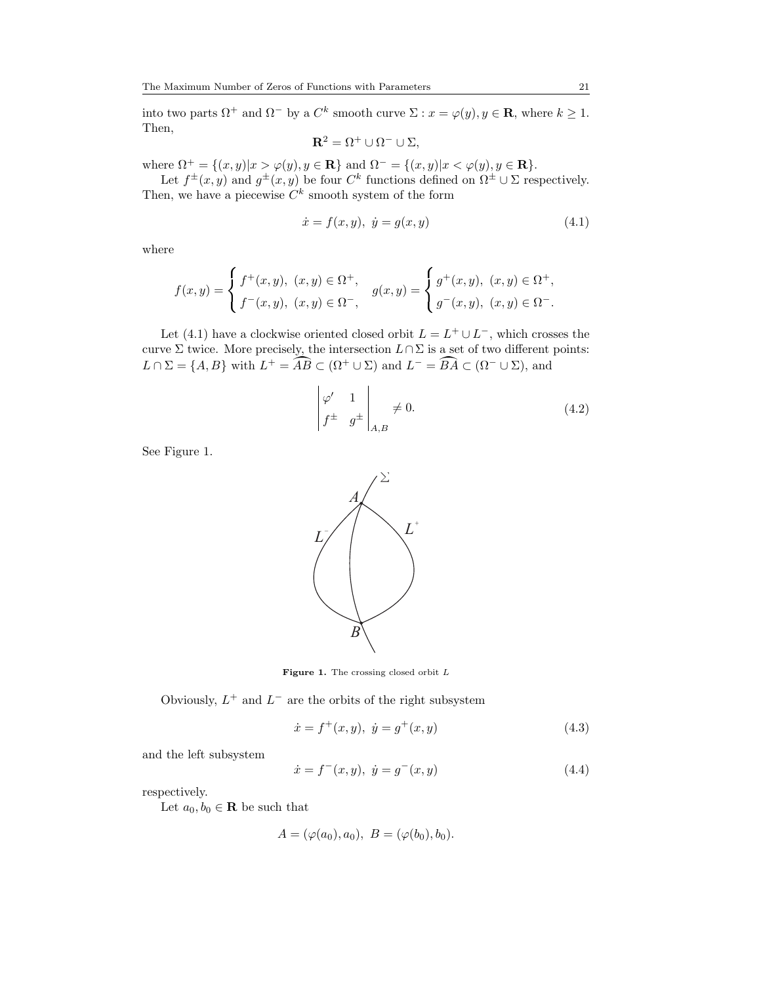into two parts  $\Omega^+$  and  $\Omega^-$  by a  $C^k$  smooth curve  $\Sigma : x = \varphi(y), y \in \mathbf{R}$ , where  $k \geq 1$ . Then,

$$
\mathbf{R}^2 = \Omega^+ \cup \Omega^- \cup \Sigma,
$$

where  $\Omega^+ = \{(x, y)|x > \varphi(y), y \in \mathbf{R}\}\$ and  $\Omega^- = \{(x, y)|x < \varphi(y), y \in \mathbf{R}\}.$ 

Let  $f^{\pm}(x, y)$  and  $g^{\pm}(x, y)$  be four  $C^k$  functions defined on  $\Omega^{\pm} \cup \Sigma$  respectively. Then, we have a piecewise  $C^k$  smooth system of the form

<span id="page-8-0"></span>
$$
\dot{x} = f(x, y), \ \dot{y} = g(x, y) \tag{4.1}
$$

where

$$
f(x,y) = \begin{cases} f^+(x,y), & (x,y) \in \Omega^+, \\ f^-(x,y), & (x,y) \in \Omega^-, \end{cases} g(x,y) = \begin{cases} g^+(x,y), & (x,y) \in \Omega^+, \\ g^-(x,y), & (x,y) \in \Omega^-. \end{cases}
$$

Let [\(4.1\)](#page-8-0) have a clockwise oriented closed orbit  $L = L^+ \cup L^-$ , which crosses the curve  $\Sigma$  twice. More precisely, the intersection  $L \cap \Sigma$  is a set of two different points:  $L \cap \Sigma = \{A, B\}$  with  $L^+ = \widehat{A} \widehat{B} \subset (\Omega^+ \cup \Sigma)$  and  $L^- = \widehat{B} \widehat{A} \subset (\Omega^- \cup \Sigma)$ , and

<span id="page-8-4"></span>
$$
\begin{vmatrix} \varphi' & 1 \\ f^{\pm} & g^{\pm} \end{vmatrix}_{A,B} \neq 0.
$$
 (4.2)

See Figure [1.](#page-8-1)



Figure 1. The crossing closed orbit  $L$ 

<span id="page-8-1"></span>Obviously,  $L^+$  and  $L^-$  are the orbits of the right subsystem

<span id="page-8-2"></span>
$$
\dot{x} = f^+(x, y), \ \dot{y} = g^+(x, y) \tag{4.3}
$$

and the left subsystem

<span id="page-8-3"></span>
$$
\dot{x} = f^-(x, y), \ \dot{y} = g^-(x, y) \tag{4.4}
$$

respectively.

Let  $a_0, b_0 \in \mathbf{R}$  be such that

$$
A = (\varphi(a_0), a_0), B = (\varphi(b_0), b_0).
$$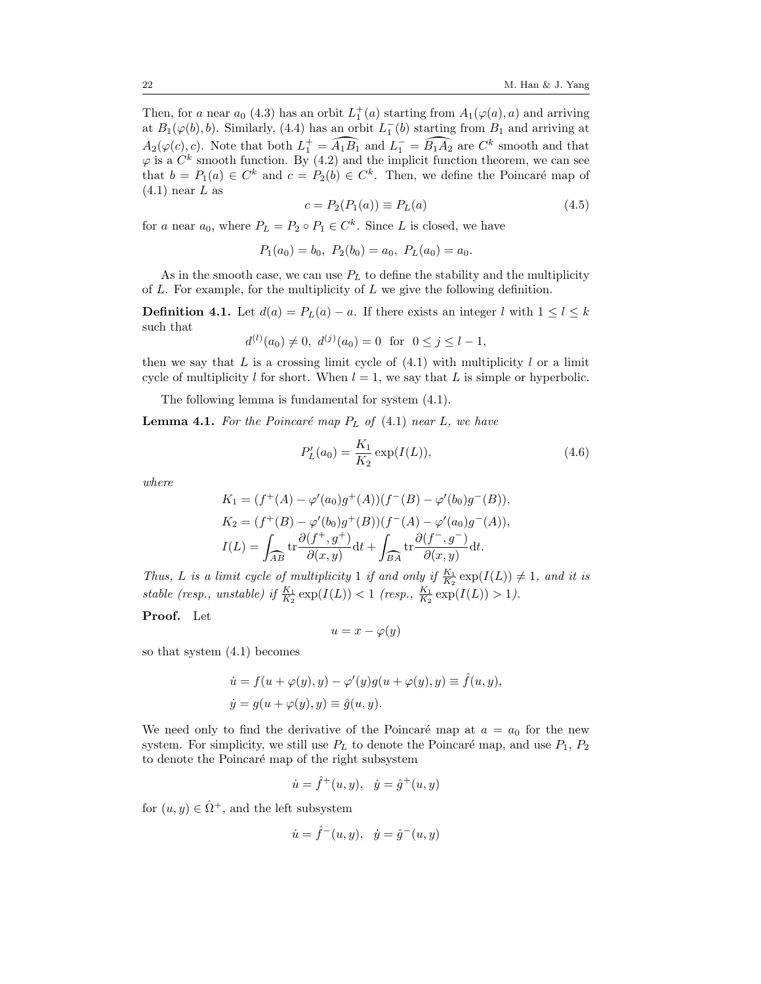Then, for a near  $a_0$  [\(4.3\)](#page-8-2) has an orbit  $L_1^+(a)$  starting from  $A_1(\varphi(a), a)$  and arriving at  $B_1(\varphi(b), b)$ . Similarly, [\(4.4\)](#page-8-3) has an orbit  $L_1^-(b)$  starting from  $B_1$  and arriving at  $A_2(\varphi(c), c)$ . Note that both  $L_1^+ = \widehat{A_1B_1}$  and  $L_1^- = \widehat{B_1A_2}$  are  $C^k$  smooth and that  $\varphi$  is a  $C^k$  smooth function. By [\(4.2\)](#page-8-4) and the implicit function theorem, we can see that  $b = P_1(a) \in C^k$  and  $c = P_2(b) \in C^k$ . Then, we define the Poincaré map of  $(4.1)$  near L as

<span id="page-9-0"></span>
$$
c = P_2(P_1(a)) \equiv P_L(a)
$$
\n(4.5)

for a near  $a_0$ , where  $P_L = P_2 \circ P_1 \in C^k$ . Since L is closed, we have

$$
P_1(a_0) = b_0
$$
,  $P_2(b_0) = a_0$ ,  $P_L(a_0) = a_0$ .

As in the smooth case, we can use  $P<sub>L</sub>$  to define the stability and the multiplicity of  $L$ . For example, for the multiplicity of  $L$  we give the following definition.

**Definition 4.1.** Let  $d(a) = P_L(a) - a$ . If there exists an integer l with  $1 \leq l \leq k$ such that

$$
d^{(l)}(a_0) \neq 0, d^{(j)}(a_0) = 0 \text{ for } 0 \leq j \leq l-1,
$$

then we say that  $L$  is a crossing limit cycle of  $(4.1)$  with multiplicity  $l$  or a limit cycle of multiplicity l for short. When  $l = 1$ , we say that L is simple or hyperbolic.

The following lemma is fundamental for system [\(4.1\)](#page-8-0).

**Lemma 4.1.** For the Poincaré map  $P_L$  of [\(4.1\)](#page-8-0) near L, we have

<span id="page-9-1"></span>
$$
P'_{L}(a_{0}) = \frac{K_{1}}{K_{2}} \exp(I(L)),
$$
\n(4.6)

where

$$
K_1 = (f^+(A) - \varphi'(a_0)g^+(A))(f^-(B) - \varphi'(b_0)g^-(B)),
$$
  
\n
$$
K_2 = (f^+(B) - \varphi'(b_0)g^+(B))(f^-(A) - \varphi'(a_0)g^-(A)),
$$
  
\n
$$
I(L) = \int_{\widehat{AB}} \text{tr} \frac{\partial(f^+, g^+)}{\partial(x, y)} dt + \int_{\widehat{BA}} \text{tr} \frac{\partial(f^-, g^-)}{\partial(x, y)} dt.
$$

Thus, L is a limit cycle of multiplicity 1 if and only if  $\frac{K_1}{K_2} \exp(I(L)) \neq 1$ , and it is stable (resp., unstable) if  $\frac{K_1}{K_2} \exp(I(L)) < 1$  (resp.,  $\frac{K_1}{K_2} \exp(I(L)) > 1$ ).

Proof. Let

$$
u = x - \varphi(y)
$$

so that system [\(4.1\)](#page-8-0) becomes

$$
\dot{u} = f(u + \varphi(y), y) - \varphi'(y)g(u + \varphi(y), y) \equiv \hat{f}(u, y),
$$
  

$$
\dot{y} = g(u + \varphi(y), y) \equiv \hat{g}(u, y).
$$

We need only to find the derivative of the Poincaré map at  $a = a_0$  for the new system. For simplicity, we still use  $P<sub>L</sub>$  to denote the Poincaré map, and use  $P<sub>1</sub>$ ,  $P<sub>2</sub>$ to denote the Poincaré map of the right subsystem

$$
\dot{u} = \hat{f}^+(u, y), \quad \dot{y} = \hat{g}^+(u, y)
$$

for  $(u, y) \in \hat{\Omega}^+$ , and the left subsystem

$$
\dot u=\hat f^-(u,y),\ \dot y=\hat g^-(u,y)
$$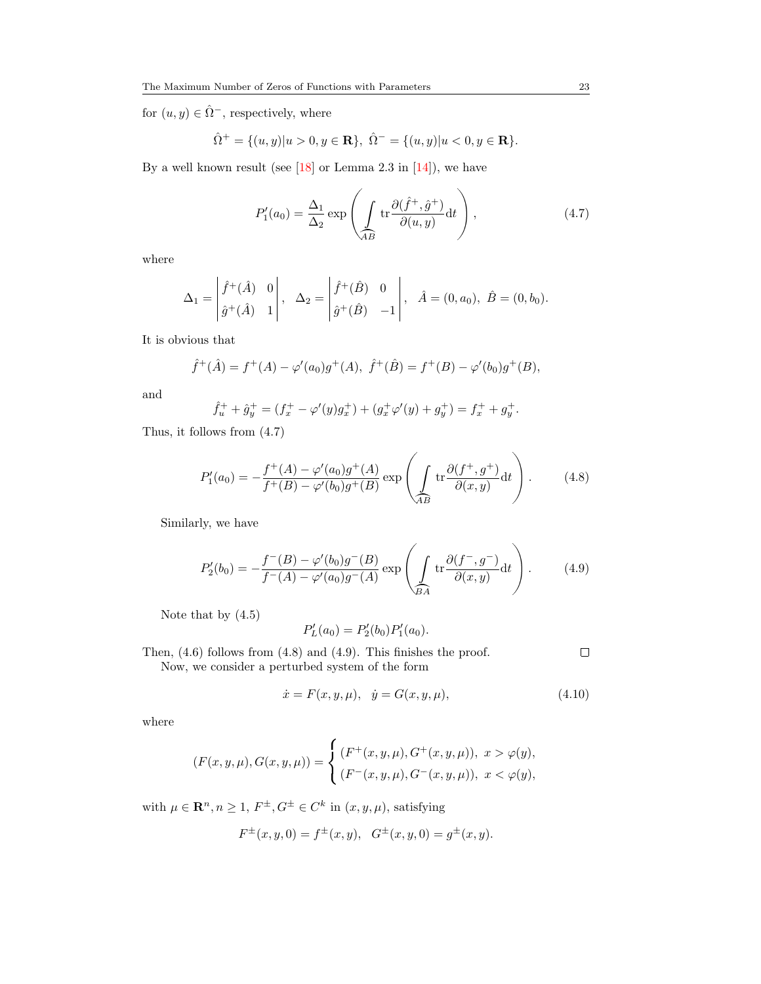for  $(u,y)\in \hat{\Omega}^{-},$  respectively, where

$$
\hat{\Omega}^+ = \{(u, y)|u > 0, y \in \mathbf{R}\}, \ \hat{\Omega}^- = \{(u, y)|u < 0, y \in \mathbf{R}\}.
$$

By a well known result (see  $[18]$  or Lemma 2.3 in  $[14]$ ), we have

<span id="page-10-0"></span>
$$
P_1'(a_0) = \frac{\Delta_1}{\Delta_2} \exp\left(\int\limits_{\overline{AB}} \text{tr}\frac{\partial(\hat{f}^+, \hat{g}^+)}{\partial(u, y)} \text{d}t\right),\tag{4.7}
$$

where

$$
\Delta_1 = \begin{vmatrix} \hat{f}^+(\hat{A}) & 0 \\ \hat{g}^+(\hat{A}) & 1 \end{vmatrix}, \quad \Delta_2 = \begin{vmatrix} \hat{f}^+(\hat{B}) & 0 \\ \hat{g}^+(\hat{B}) & -1 \end{vmatrix}, \quad \hat{A} = (0, a_0), \ \hat{B} = (0, b_0).
$$

It is obvious that

$$
\hat{f}^+(A) = f^+(A) - \varphi'(a_0)g^+(A), \ \hat{f}^+(B) = f^+(B) - \varphi'(b_0)g^+(B),
$$

and

$$
\hat{f}_u^+ + \hat{g}_y^+ = (f_x^+ - \varphi'(y)g_x^+) + (g_x^+ \varphi'(y) + g_y^+) = f_x^+ + g_y^+.
$$

Thus, it follows from [\(4.7\)](#page-10-0)

<span id="page-10-1"></span>
$$
P'_{1}(a_{0}) = -\frac{f^{+}(A) - \varphi'(a_{0})g^{+}(A)}{f^{+}(B) - \varphi'(b_{0})g^{+}(B)} \exp\left(\int \limits_{\widehat{AB}} \text{tr}\frac{\partial(f^{+}, g^{+})}{\partial(x, y)} dt\right).
$$
 (4.8)

Similarly, we have

<span id="page-10-2"></span>
$$
P'_{2}(b_{0}) = -\frac{f^{-}(B) - \varphi'(b_{0})g^{-}(B)}{f^{-}(A) - \varphi'(a_{0})g^{-}(A)} \exp\left(\int \limits_{\widehat{BA}} \text{tr}\frac{\partial(f^{-}, g^{-})}{\partial(x, y)} dt\right).
$$
 (4.9)

Note that by [\(4.5\)](#page-9-0)

$$
P'_L(a_0) = P'_2(b_0)P'_1(a_0).
$$

 $\Box$ 

Then, [\(4.6\)](#page-9-1) follows from [\(4.8\)](#page-10-1) and [\(4.9\)](#page-10-2). This finishes the proof. Now, we consider a perturbed system of the form

<span id="page-10-3"></span>
$$
\dot{x} = F(x, y, \mu), \quad \dot{y} = G(x, y, \mu), \tag{4.10}
$$

where

$$
(F(x, y, \mu), G(x, y, \mu)) = \begin{cases} (F^+(x, y, \mu), G^+(x, y, \mu)), & x > \varphi(y), \\ (F^-(x, y, \mu), G^-(x, y, \mu)), & x < \varphi(y), \end{cases}
$$

with  $\mu \in \mathbb{R}^n, n \geq 1, F^{\pm}, G^{\pm} \in C^k$  in  $(x, y, \mu)$ , satisfying

$$
F^{\pm}(x, y, 0) = f^{\pm}(x, y), \quad G^{\pm}(x, y, 0) = g^{\pm}(x, y).
$$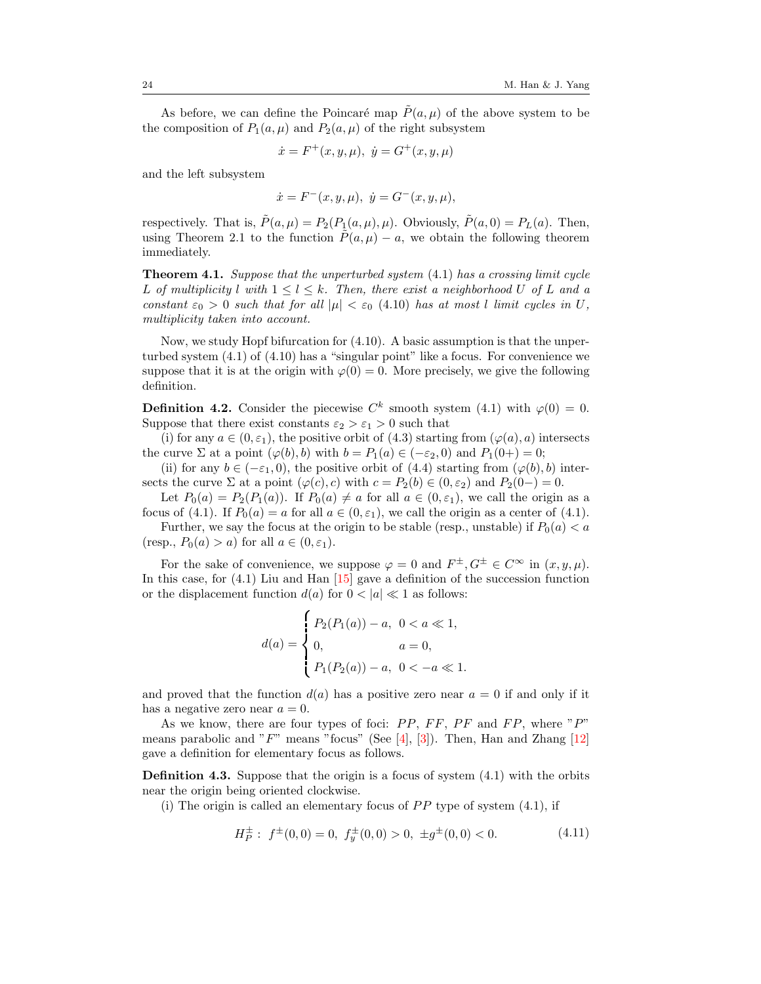As before, we can define the Poincaré map  $\tilde{P}(a, \mu)$  of the above system to be the composition of  $P_1(a,\mu)$  and  $P_2(a,\mu)$  of the right subsystem

$$
\dot{x} = F^+(x, y, \mu), \ \dot{y} = G^+(x, y, \mu)
$$

and the left subsystem

$$
\dot{x} = F^{-}(x, y, \mu), \ \dot{y} = G^{-}(x, y, \mu),
$$

respectively. That is,  $\tilde{P}(a,\mu) = P_2(P_1(a,\mu),\mu)$ . Obviously,  $\tilde{P}(a,0) = P_L(a)$ . Then, using Theorem [2.1](#page-2-3) to the function  $\tilde{P}(a, \mu) - a$ , we obtain the following theorem immediately.

**Theorem 4.1.** Suppose that the unperturbed system  $(4.1)$  has a crossing limit cycle L of multiplicity l with  $1 \leq l \leq k$ . Then, there exist a neighborhood U of L and a constant  $\varepsilon_0 > 0$  such that for all  $|\mu| < \varepsilon_0$  [\(4.10\)](#page-10-3) has at most l limit cycles in U, multiplicity taken into account.

Now, we study Hopf bifurcation for [\(4.10\)](#page-10-3). A basic assumption is that the unperturbed system [\(4.1\)](#page-8-0) of [\(4.10\)](#page-10-3) has a "singular point" like a focus. For convenience we suppose that it is at the origin with  $\varphi(0) = 0$ . More precisely, we give the following definition.

**Definition 4.2.** Consider the piecewise  $C^k$  smooth system [\(4.1\)](#page-8-0) with  $\varphi(0) = 0$ . Suppose that there exist constants  $\varepsilon_2 > \varepsilon_1 > 0$  such that

(i) for any  $a \in (0, \varepsilon_1)$ , the positive orbit of [\(4.3\)](#page-8-2) starting from  $(\varphi(a), a)$  intersects the curve  $\Sigma$  at a point  $(\varphi(b), b)$  with  $b = P_1(a) \in (-\varepsilon_2, 0)$  and  $P_1(0+) = 0$ ;

(ii) for any  $b \in (-\varepsilon_1, 0)$ , the positive orbit of [\(4.4\)](#page-8-3) starting from  $(\varphi(b), b)$  intersects the curve  $\Sigma$  at a point  $(\varphi(c), c)$  with  $c = P_2(b) \in (0, \varepsilon_2)$  and  $P_2(0-) = 0$ .

Let  $P_0(a) = P_2(P_1(a))$ . If  $P_0(a) \neq a$  for all  $a \in (0, \varepsilon_1)$ , we call the origin as a focus of [\(4.1\)](#page-8-0). If  $P_0(a) = a$  for all  $a \in (0, \varepsilon_1)$ , we call the origin as a center of (4.1).

Further, we say the focus at the origin to be stable (resp., unstable) if  $P_0(a) < a$ (resp.,  $P_0(a) > a$ ) for all  $a \in (0, \varepsilon_1)$ .

For the sake of convenience, we suppose  $\varphi = 0$  and  $F^{\pm}, G^{\pm} \in C^{\infty}$  in  $(x, y, \mu)$ . In this case, for [\(4.1\)](#page-8-0) Liu and Han [\[15\]](#page-21-2) gave a definition of the succession function or the displacement function  $d(a)$  for  $0 < |a| \ll 1$  as follows:

$$
d(a) = \begin{cases} P_2(P_1(a)) - a, & 0 < a \ll 1, \\ 0, & a = 0, \\ P_1(P_2(a)) - a, & 0 < -a \ll 1. \end{cases}
$$

and proved that the function  $d(a)$  has a positive zero near  $a = 0$  if and only if it has a negative zero near  $a = 0$ .

As we know, there are four types of foci:  $PP$ ,  $FF$ ,  $PF$  and  $FP$ , where " $P$ " means parabolic and " $F$ " means "focus" (See [\[4\]](#page-20-8), [\[3\]](#page-20-9)). Then, Han and Zhang [\[12\]](#page-20-10) gave a definition for elementary focus as follows.

**Definition 4.3.** Suppose that the origin is a focus of system  $(4.1)$  with the orbits near the origin being oriented clockwise.

(i) The origin is called an elementary focus of  $PP$  type of system  $(4.1)$ , if

<span id="page-11-0"></span>
$$
H_P^{\pm} : f^{\pm}(0,0) = 0, f_y^{\pm}(0,0) > 0, \pm g^{\pm}(0,0) < 0.
$$
 (4.11)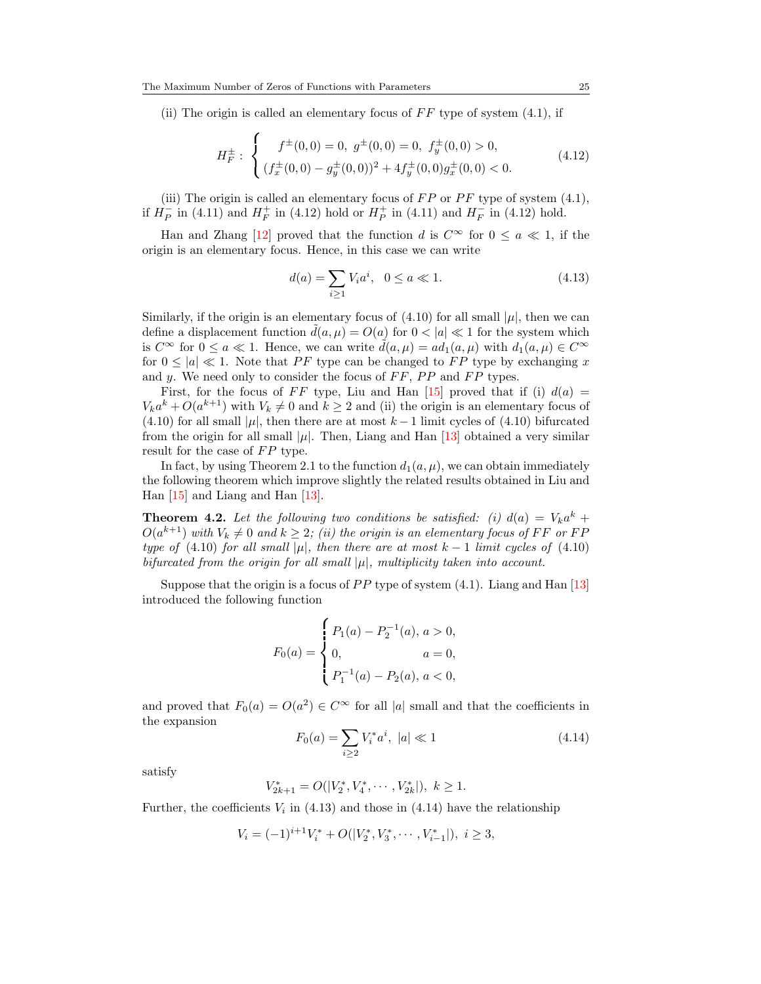(ii) The origin is called an elementary focus of  $FF$  type of system  $(4.1)$ , if

<span id="page-12-0"></span>
$$
H_F^{\pm} : \begin{cases} f^{\pm}(0,0) = 0, \ g^{\pm}(0,0) = 0, \ f_y^{\pm}(0,0) > 0, \\ (f_x^{\pm}(0,0) - g_y^{\pm}(0,0))^2 + 4f_y^{\pm}(0,0)g_x^{\pm}(0,0) < 0. \end{cases}
$$
(4.12)

(iii) The origin is called an elementary focus of  $FP$  or  $PF$  type of system  $(4.1)$ , if  $H_P^-$  in [\(4.11\)](#page-11-0) and  $H_F^+$  in [\(4.12\)](#page-12-0) hold or  $H_P^+$  in (4.11) and  $H_F^-$  in (4.12) hold.

Han and Zhang [\[12\]](#page-20-10) proved that the function d is  $C^{\infty}$  for  $0 \le a \ll 1$ , if the origin is an elementary focus. Hence, in this case we can write

<span id="page-12-1"></span>
$$
d(a) = \sum_{i \ge 1} V_i a^i, \ \ 0 \le a \ll 1. \tag{4.13}
$$

Similarly, if the origin is an elementary focus of  $(4.10)$  for all small  $|\mu|$ , then we can define a displacement function  $d(a, \mu) = O(a)$  for  $0 < |a| \ll 1$  for the system which is  $C^{\infty}$  for  $0 \le a \ll 1$ . Hence, we can write  $\tilde{d}(a, \mu) = ad_1(a, \mu)$  with  $d_1(a, \mu) \in C^{\infty}$ for  $0 \leq |a| \ll 1$ . Note that PF type can be changed to FP type by exchanging x and y. We need only to consider the focus of  $FF$ ,  $PP$  and  $FP$  types.

First, for the focus of FF type, Liu and Han [\[15\]](#page-21-2) proved that if (i)  $d(a)$  =  $V_k a^k + O(a^{k+1})$  with  $V_k \neq 0$  and  $k \geq 2$  and (ii) the origin is an elementary focus of [\(4.10\)](#page-10-3) for all small  $|\mu|$ , then there are at most  $k-1$  limit cycles of (4.10) bifurcated from the origin for all small  $|\mu|$ . Then, Liang and Han [\[13\]](#page-21-3) obtained a very similar result for the case of  $FP$  type.

In fact, by using Theorem 2.1 to the function  $d_1(a, \mu)$ , we can obtain immediately the following theorem which improve slightly the related results obtained in Liu and Han [\[15\]](#page-21-2) and Liang and Han [\[13\]](#page-21-3).

**Theorem 4.2.** Let the following two conditions be satisfied: (i)  $d(a) = V_k a^k +$  $O(a^{k+1})$  with  $V_k \neq 0$  and  $k \geq 2$ ; (ii) the origin is an elementary focus of FF or FF type of [\(4.10\)](#page-10-3) for all small |µ|, then there are at most k – 1 limit cycles of (4.10) bifurcated from the origin for all small  $|\mu|$ , multiplicity taken into account.

Suppose that the origin is a focus of  $PP$  type of system  $(4.1)$ . Liang and Han  $[13]$ introduced the following function

$$
F_0(a) = \begin{cases} P_1(a) - P_2^{-1}(a), a > 0, \\ 0, & a = 0, \\ P_1^{-1}(a) - P_2(a), a < 0, \end{cases}
$$

and proved that  $F_0(a) = O(a^2) \in C^{\infty}$  for all |a| small and that the coefficients in the expansion

<span id="page-12-2"></span>
$$
F_0(a) = \sum_{i \ge 2} V_i^* a^i, \ |a| \ll 1 \tag{4.14}
$$

satisfy

$$
V_{2k+1}^* = O(|V_2^*, V_4^*, \cdots, V_{2k}^*|), k \ge 1.
$$

Further, the coefficients  $V_i$  in [\(4.13\)](#page-12-1) and those in [\(4.14\)](#page-12-2) have the relationship

$$
V_i = (-1)^{i+1} V_i^* + O(|V_2^*, V_3^*, \cdots, V_{i-1}^*|), \ i \ge 3,
$$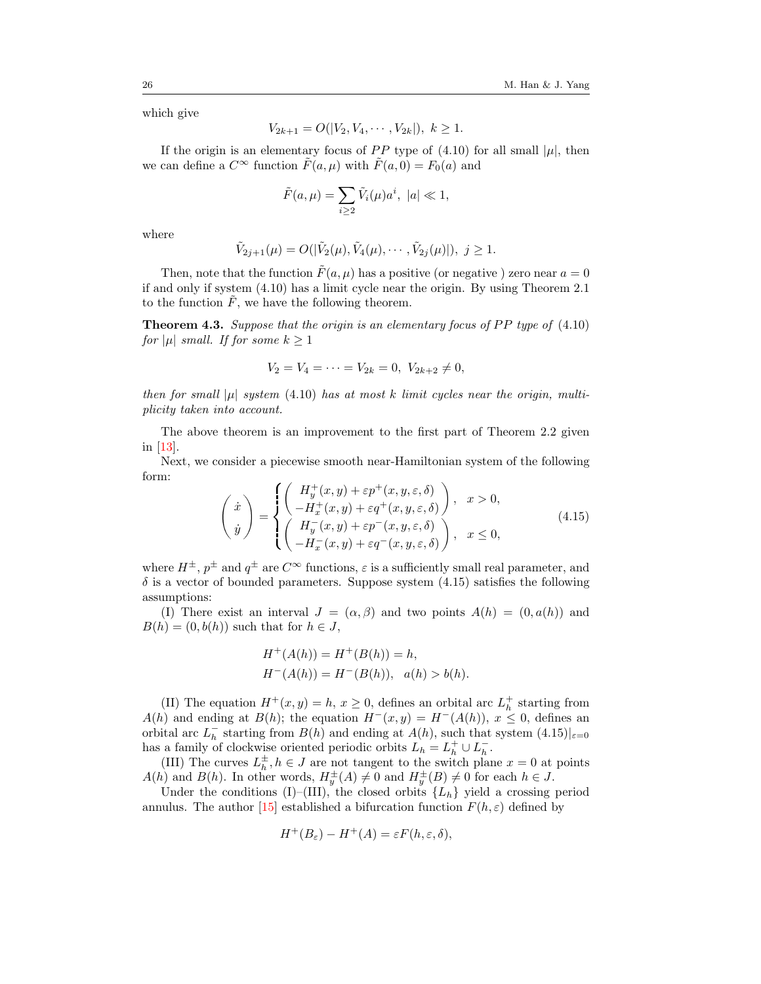which give

$$
V_{2k+1} = O(|V_2, V_4, \cdots, V_{2k}|), \ k \ge 1.
$$

If the origin is an elementary focus of PP type of [\(4.10\)](#page-10-3) for all small  $|\mu|$ , then we can define a  $C^{\infty}$  function  $\tilde{F}(a, \mu)$  with  $\tilde{F}(a, 0) = F_0(a)$  and

$$
\tilde{F}(a,\mu) = \sum_{i\geq 2} \tilde{V}_i(\mu) a^i, \ |a| \ll 1,
$$

where

$$
\tilde{V}_{2j+1}(\mu) = O(|\tilde{V}_2(\mu), \tilde{V}_4(\mu), \cdots, \tilde{V}_{2j}(\mu)|), \ j \ge 1.
$$

Then, note that the function  $\tilde{F}(a, \mu)$  has a positive (or negative ) zero near  $a = 0$ if and only if system [\(4.10\)](#page-10-3) has a limit cycle near the origin. By using Theorem 2.1 to the function  $\tilde{F}$ , we have the following theorem.

**Theorem 4.3.** Suppose that the origin is an elementary focus of PP type of  $(4.10)$ for  $|\mu|$  small. If for some  $k \geq 1$ 

$$
V_2 = V_4 = \dots = V_{2k} = 0, V_{2k+2} \neq 0,
$$

then for small  $|\mu|$  system [\(4.10\)](#page-10-3) has at most k limit cycles near the origin, multiplicity taken into account.

The above theorem is an improvement to the first part of Theorem 2.2 given in [\[13\]](#page-21-3).

Next, we consider a piecewise smooth near-Hamiltonian system of the following form:

<span id="page-13-0"></span>
$$
\begin{pmatrix}\n\dot{x} \\
\dot{y}\n\end{pmatrix} = \begin{cases}\n\begin{pmatrix}\nH_y^+(x, y) + \varepsilon p^+(x, y, \varepsilon, \delta) \\
-H_x^+(x, y) + \varepsilon q^+(x, y, \varepsilon, \delta)\n\end{pmatrix}, \quad x > 0, \\
\begin{pmatrix}\nH_y^-(x, y) + \varepsilon p^-(x, y, \varepsilon, \delta) \\
-H_x^-(x, y) + \varepsilon q^-(x, y, \varepsilon, \delta)\n\end{pmatrix}, \quad x \le 0,\n\end{cases}
$$
\n(4.15)

where  $H^{\pm}$ ,  $p^{\pm}$  and  $q^{\pm}$  are  $C^{\infty}$  functions,  $\varepsilon$  is a sufficiently small real parameter, and  $\delta$  is a vector of bounded parameters. Suppose system [\(4.15\)](#page-13-0) satisfies the following assumptions:

(I) There exist an interval  $J = (\alpha, \beta)$  and two points  $A(h) = (0, a(h))$  and  $B(h) = (0, b(h))$  such that for  $h \in J$ ,

$$
H^+(A(h)) = H^+(B(h)) = h,
$$
  

$$
H^-(A(h)) = H^-(B(h)), \quad a(h) > b(h).
$$

(II) The equation  $H^+(x, y) = h, x \ge 0$ , defines an orbital arc  $L_h^+$  starting from  $A(h)$  and ending at  $B(h)$ ; the equation  $H^-(x,y) = H^-(A(h))$ ,  $x \leq 0$ , defines an orbital arc  $L_h^-$  starting from  $B(h)$  and ending at  $A(h)$ , such that system  $(4.15)|_{\varepsilon=0}$  $(4.15)|_{\varepsilon=0}$ has a family of clockwise oriented periodic orbits  $L_h = L_h^+ \cup L_h^-$ .

(III) The curves  $L_h^{\pm}$ ,  $h \in J$  are not tangent to the switch plane  $x = 0$  at points  $A(h)$  and  $B(h)$ . In other words,  $H_y^{\pm}(A) \neq 0$  and  $H_y^{\pm}(B) \neq 0$  for each  $h \in J$ .

Under the conditions  $(I)$ – $(III)$ , the closed orbits  $\{L_h\}$  yield a crossing period annulus. The author [\[15\]](#page-21-2) established a bifurcation function  $F(h, \varepsilon)$  defined by

$$
H^+(B_{\varepsilon}) - H^+(A) = \varepsilon F(h, \varepsilon, \delta),
$$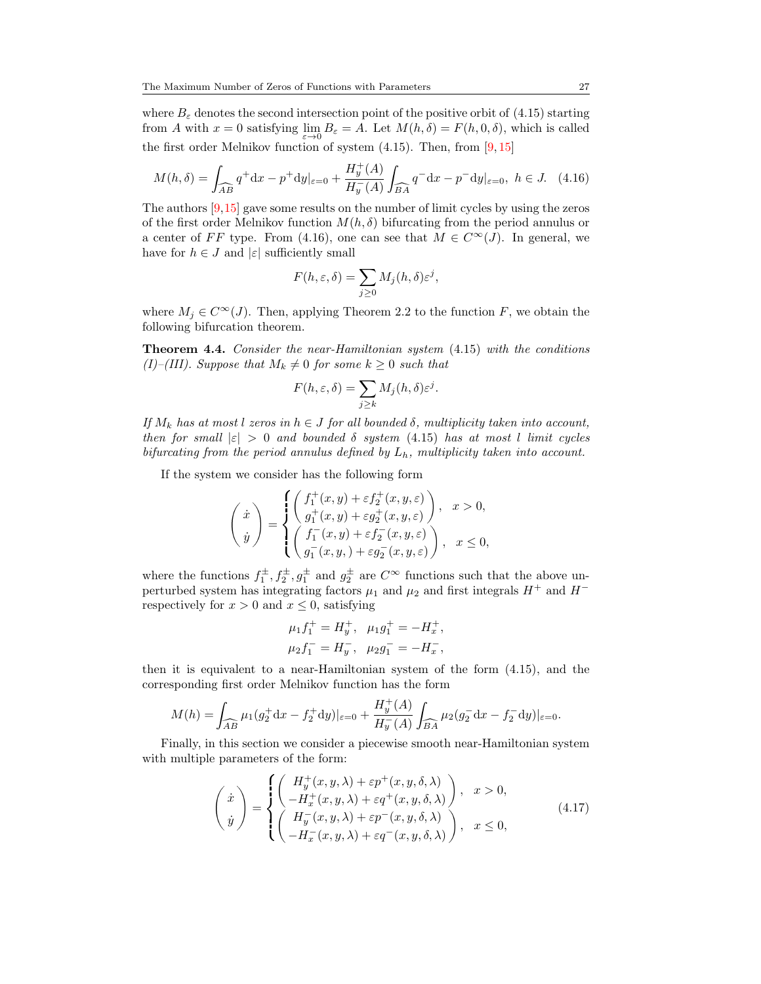where  $B_{\varepsilon}$  denotes the second intersection point of the positive orbit of [\(4.15\)](#page-13-0) starting from A with  $x = 0$  satisfying  $\lim_{\varepsilon \to 0} B_{\varepsilon} = A$ . Let  $M(h, \delta) = F(h, 0, \delta)$ , which is called the first order Melnikov function of system  $(4.15)$ . Then, from  $[9, 15]$  $[9, 15]$  $[9, 15]$ 

$$
M(h,\delta) = \int_{\widehat{AB}} q^+ dx - p^+ dy|_{\varepsilon=0} + \frac{H_y^+(A)}{H_y^-(A)} \int_{\widehat{BA}} q^- dx - p^- dy|_{\varepsilon=0}, \ h \in J. \tag{4.16}
$$

The authors [\[9,](#page-20-11)[15\]](#page-21-2) gave some results on the number of limit cycles by using the zeros of the first order Melnikov function  $M(h, \delta)$  bifurcating from the period annulus or a center of FF type. From [\(4.16\)](#page-14-0), one can see that  $M \in C^{\infty}(J)$ . In general, we have for  $h \in J$  and  $|\varepsilon|$  sufficiently small

<span id="page-14-0"></span>
$$
F(h, \varepsilon, \delta) = \sum_{j \geq 0} M_j(h, \delta) \varepsilon^j,
$$

where  $M_j \in C^{\infty}(J)$ . Then, applying Theorem 2.2 to the function F, we obtain the following bifurcation theorem.

Theorem 4.4. Consider the near-Hamiltonian system [\(4.15\)](#page-13-0) with the conditions (I)–(III). Suppose that  $M_k \neq 0$  for some  $k \geq 0$  such that

$$
F(h, \varepsilon, \delta) = \sum_{j \ge k} M_j(h, \delta) \varepsilon^j.
$$

If  $M_k$  has at most l zeros in  $h \in J$  for all bounded  $\delta$ , multiplicity taken into account, then for small  $|\varepsilon| > 0$  and bounded  $\delta$  system [\(4.15\)](#page-13-0) has at most l limit cycles bifurcating from the period annulus defined by  $L_h$ , multiplicity taken into account.

If the system we consider has the following form

$$
\label{eq:2.1} \left(\begin{array}{c} \dot{x} \\ \dot{y} \end{array}\right)=\begin{cases} \left(\begin{array}{c} f_1^+(x,y)+\varepsilon f_2^+(x,y,\varepsilon) \\ g_1^+(x,y)+\varepsilon g_2^+(x,y,\varepsilon) \end{array}\right), \ \ x>0, \\ \left(\begin{array}{c} f_1^-(x,y)+\varepsilon f_2^-(x,y,\varepsilon) \\ g_1^-(x,y)+\varepsilon g_2^-(x,y,\varepsilon) \end{array}\right), \ \ x\leq 0, \end{cases}
$$

where the functions  $f_1^{\pm}, f_2^{\pm}, g_1^{\pm}$  and  $g_2^{\pm}$  are  $C^{\infty}$  functions such that the above unperturbed system has integrating factors  $\mu_1$  and  $\mu_2$  and first integrals  $H^+$  and  $H^$ respectively for  $x > 0$  and  $x \leq 0$ , satisfying

$$
\begin{aligned}\n\mu_1 f_1^+ &= H_y^+, \quad \mu_1 g_1^+ = -H_x^+, \\
\mu_2 f_1^- &= H_y^-, \quad \mu_2 g_1^- = -H_x^-,\n\end{aligned}
$$

then it is equivalent to a near-Hamiltonian system of the form [\(4.15\)](#page-13-0), and the corresponding first order Melnikov function has the form

$$
M(h) = \int_{\widehat{AB}} \mu_1(g_2^+ \mathrm{d}x - f_2^+ \mathrm{d}y)|_{\varepsilon=0} + \frac{H_y^+(A)}{H_y^-(A)} \int_{\widehat{BA}} \mu_2(g_2^- \mathrm{d}x - f_2^- \mathrm{d}y)|_{\varepsilon=0}.
$$

Finally, in this section we consider a piecewise smooth near-Hamiltonian system with multiple parameters of the form:

<span id="page-14-1"></span>
$$
\begin{pmatrix}\n\dot{x} \\
\dot{y}\n\end{pmatrix} = \begin{cases}\n\begin{pmatrix}\nH_y^+(x, y, \lambda) + \varepsilon p^+(x, y, \delta, \lambda) \\
-H_x^+(x, y, \lambda) + \varepsilon q^+(x, y, \delta, \lambda)\n\end{pmatrix}, & x > 0, \\
\begin{pmatrix}\nH_y^-(x, y, \lambda) + \varepsilon p^-(x, y, \delta, \lambda) \\
-H_x^-(x, y, \lambda) + \varepsilon q^-(x, y, \delta, \lambda)\n\end{pmatrix}, & x \le 0,\n\end{cases}
$$
\n(4.17)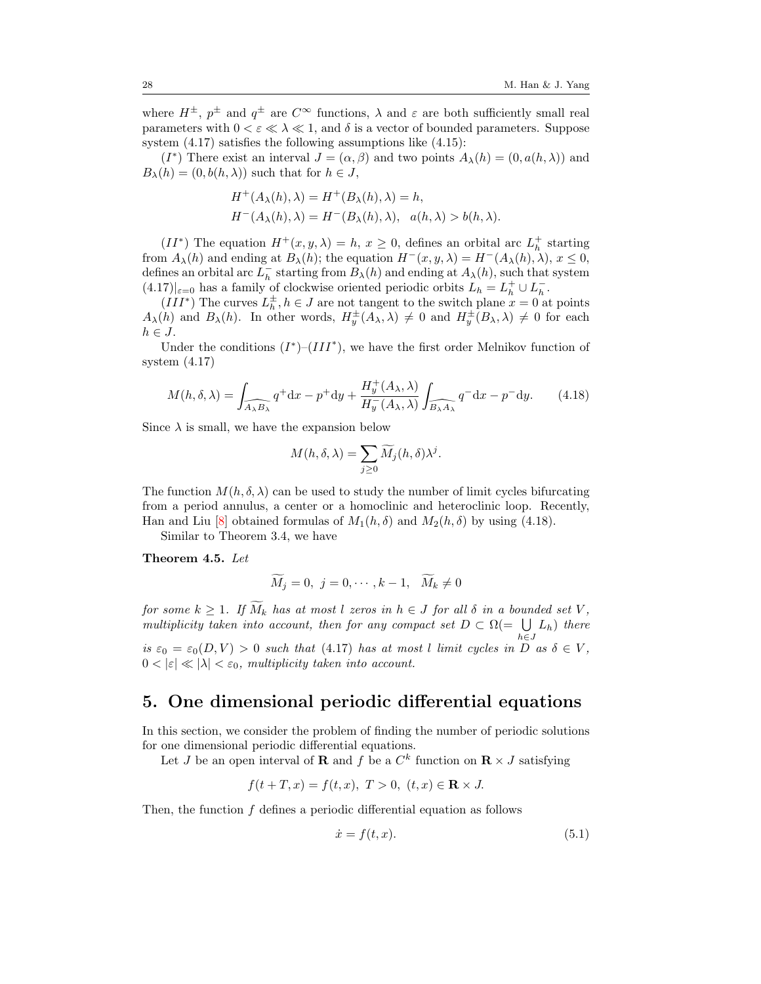where  $H^{\pm}$ ,  $p^{\pm}$  and  $q^{\pm}$  are  $C^{\infty}$  functions,  $\lambda$  and  $\varepsilon$  are both sufficiently small real parameters with  $0 < \varepsilon \ll \lambda \ll 1$ , and  $\delta$  is a vector of bounded parameters. Suppose system  $(4.17)$  satisfies the following assumptions like  $(4.15)$ :

(I<sup>\*</sup>) There exist an interval  $J = (\alpha, \beta)$  and two points  $A_{\lambda}(h) = (0, a(h, \lambda))$  and  $B_{\lambda}(h) = (0, b(h, \lambda))$  such that for  $h \in J$ ,

$$
H^+(A_\lambda(h), \lambda) = H^+(B_\lambda(h), \lambda) = h,
$$
  

$$
H^-(A_\lambda(h), \lambda) = H^-(B_\lambda(h), \lambda), \quad a(h, \lambda) > b(h, \lambda).
$$

 $(II^*)$  The equation  $H^+(x, y, \lambda) = h, x \geq 0$ , defines an orbital arc  $L_h^+$  starting from  $A_\lambda(h)$  and ending at  $B_\lambda(h)$ ; the equation  $H^-(x, y, \lambda) = H^-(A_\lambda(h), \lambda), x \leq 0$ , defines an orbital arc  $\overline{L}_h^-$  starting from  $B_\lambda(h)$  and ending at  $A_\lambda(h)$ , such that system  $(4.17)|_{\varepsilon=0}$  $(4.17)|_{\varepsilon=0}$  has a family of clockwise oriented periodic orbits  $L_h = L_h^+ \cup L_h^-$ .

 $(III^*)$  The curves  $L_h^{\pm}$ ,  $h \in J$  are not tangent to the switch plane  $x = 0$  at points  $A_{\lambda}(h)$  and  $B_{\lambda}(h)$ . In other words,  $H_y^{\pm}(A_{\lambda}, \lambda) \neq 0$  and  $H_y^{\pm}(B_{\lambda}, \lambda) \neq 0$  for each  $h \in J$ .

Under the conditions  $(I^*)$ – $(III^*)$ , we have the first order Melnikov function of system [\(4.17\)](#page-14-1)

$$
M(h,\delta,\lambda) = \int_{\widehat{A_{\lambda}B_{\lambda}}} q^{+} dx - p^{+} dy + \frac{H_y^{+}(A_{\lambda},\lambda)}{H_y^{-}(A_{\lambda},\lambda)} \int_{\widehat{B_{\lambda}A_{\lambda}}} q^{-} dx - p^{-} dy. \tag{4.18}
$$

Since  $\lambda$  is small, we have the expansion below

<span id="page-15-0"></span>
$$
M(h, \delta, \lambda) = \sum_{j \geq 0} \widetilde{M}_j(h, \delta) \lambda^j.
$$

The function  $M(h, \delta, \lambda)$  can be used to study the number of limit cycles bifurcating from a period annulus, a center or a homoclinic and heteroclinic loop. Recently, Han and Liu [\[8\]](#page-20-12) obtained formulas of  $M_1(h,\delta)$  and  $M_2(h,\delta)$  by using [\(4.18\)](#page-15-0).

Similar to Theorem [3.4,](#page-7-2) we have

Theorem 4.5. Let

$$
\widetilde{M}_j = 0, \ j = 0, \cdots, k - 1, \ \widetilde{M}_k \neq 0
$$

for some  $k \geq 1$ . If  $\widetilde{M}_k$  has at most l zeros in  $h \in J$  for all  $\delta$  in a bounded set V, multiplicity taken into account, then for any compact set  $D \subset \Omega$ (=  $\bigcup L_h$ ) there  $h\epsilon J$ is  $\varepsilon_0 = \varepsilon_0(D, V) > 0$  such that [\(4.17\)](#page-14-1) has at most l limit cycles in  $\overline{D}$  as  $\delta \in V$ ,  $0 < |\varepsilon| \ll |\lambda| < \varepsilon_0$ , multiplicity taken into account.

### 5. One dimensional periodic differential equations

In this section, we consider the problem of finding the number of periodic solutions for one dimensional periodic differential equations.

Let J be an open interval of **R** and f be a  $C^k$  function on  $\mathbf{R} \times J$  satisfying

$$
f(t + T, x) = f(t, x), \ T > 0, \ (t, x) \in \mathbf{R} \times J.
$$

Then, the function f defines a periodic differential equation as follows

<span id="page-15-1"></span>
$$
\dot{x} = f(t, x). \tag{5.1}
$$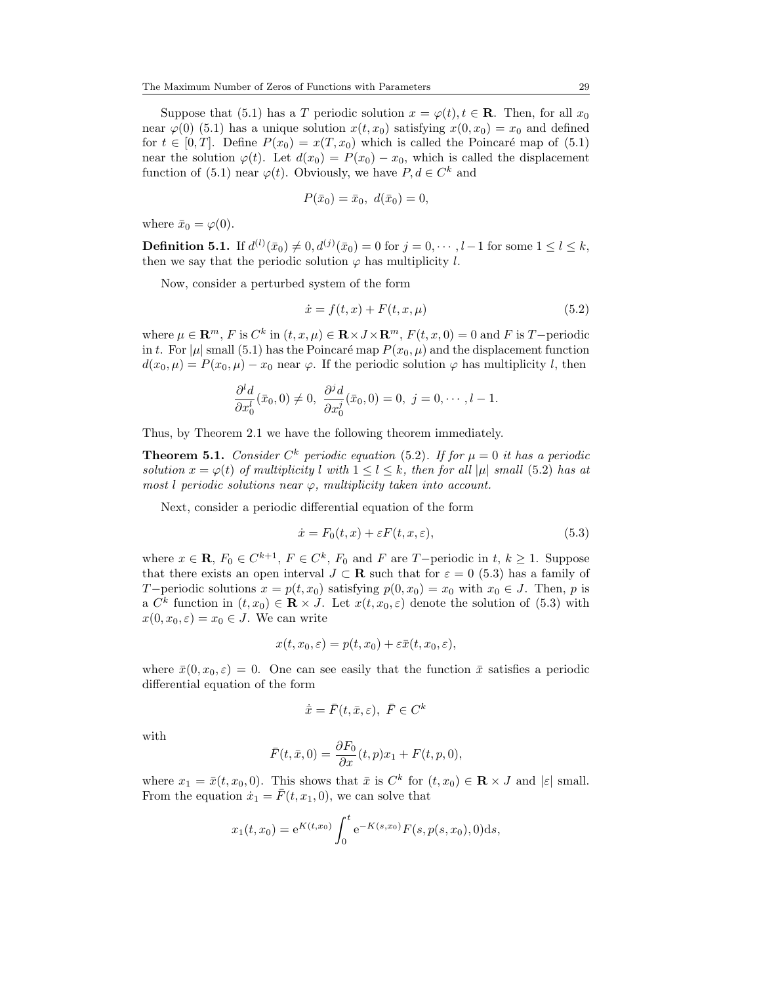Suppose that [\(5.1\)](#page-15-1) has a T periodic solution  $x = \varphi(t), t \in \mathbf{R}$ . Then, for all  $x_0$ near  $\varphi(0)$  [\(5.1\)](#page-15-1) has a unique solution  $x(t, x_0)$  satisfying  $x(0, x_0) = x_0$  and defined for  $t \in [0, T]$ . Define  $P(x_0) = x(T, x_0)$  which is called the Poincaré map of [\(5.1\)](#page-15-1) near the solution  $\varphi(t)$ . Let  $d(x_0) = P(x_0) - x_0$ , which is called the displacement function of [\(5.1\)](#page-15-1) near  $\varphi(t)$ . Obviously, we have  $P, d \in C^k$  and

$$
P(\bar{x}_0) = \bar{x}_0, \ d(\bar{x}_0) = 0,
$$

where  $\bar{x}_0 = \varphi(0)$ .

**Definition 5.1.** If  $d^{(l)}(\bar{x}_0) \neq 0, d^{(j)}(\bar{x}_0) = 0$  for  $j = 0, \dots, l-1$  for some  $1 \leq l \leq k$ , then we say that the periodic solution  $\varphi$  has multiplicity l.

Now, consider a perturbed system of the form

<span id="page-16-0"></span>
$$
\dot{x} = f(t, x) + F(t, x, \mu) \tag{5.2}
$$

where  $\mu \in \mathbb{R}^m$ , F is  $C^k$  in  $(t, x, \mu) \in \mathbb{R} \times J \times \mathbb{R}^m$ ,  $F(t, x, 0) = 0$  and F is T-periodic in t. For  $|\mu|$  small [\(5.1\)](#page-15-1) has the Poincaré map  $P(x_0, \mu)$  and the displacement function  $d(x_0, \mu) = P(x_0, \mu) - x_0$  near  $\varphi$ . If the periodic solution  $\varphi$  has multiplicity l, then

$$
\frac{\partial^l d}{\partial x_0^l}(\bar{x}_0,0)\neq 0, \ \frac{\partial^j d}{\partial x_0^j}(\bar{x}_0,0)=0, \ j=0,\cdots, l-1.
$$

Thus, by Theorem [2.1](#page-2-3) we have the following theorem immediately.

**Theorem 5.1.** Consider  $C^k$  periodic equation [\(5.2\)](#page-16-0). If for  $\mu = 0$  it has a periodic solution  $x = \varphi(t)$  of multiplicity l with  $1 \leq l \leq k$ , then for all |µ| small [\(5.2\)](#page-16-0) has at most *l* periodic solutions near  $\varphi$ , multiplicity taken into account.

Next, consider a periodic differential equation of the form

<span id="page-16-1"></span>
$$
\dot{x} = F_0(t, x) + \varepsilon F(t, x, \varepsilon),\tag{5.3}
$$

where  $x \in \mathbf{R}$ ,  $F_0 \in C^{k+1}$ ,  $F \in C^k$ ,  $F_0$  and  $F$  are T-periodic in  $t, k \ge 1$ . Suppose that there exists an open interval  $J \subset \mathbf{R}$  such that for  $\varepsilon = 0$  [\(5.3\)](#page-16-1) has a family of T−periodic solutions  $x = p(t, x_0)$  satisfying  $p(0, x_0) = x_0$  with  $x_0 \in J$ . Then, p is a  $C^k$  function in  $(t, x_0) \in \mathbf{R} \times J$ . Let  $x(t, x_0, \varepsilon)$  denote the solution of  $(5.3)$  with  $x(0, x_0, \varepsilon) = x_0 \in J$ . We can write

$$
x(t, x_0, \varepsilon) = p(t, x_0) + \varepsilon \bar{x}(t, x_0, \varepsilon),
$$

where  $\bar{x}(0, x_0, \varepsilon) = 0$ . One can see easily that the function  $\bar{x}$  satisfies a periodic differential equation of the form

$$
\dot{\bar{x}} = \bar{F}(t, \bar{x}, \varepsilon), \ \bar{F} \in C^k
$$

with

$$
\bar{F}(t,\bar{x},0) = \frac{\partial F_0}{\partial x}(t,p)x_1 + F(t,p,0),
$$

where  $x_1 = \bar{x}(t, x_0, 0)$ . This shows that  $\bar{x}$  is  $C^k$  for  $(t, x_0) \in \mathbf{R} \times J$  and  $|\varepsilon|$  small. From the equation  $\dot{x}_1 = \bar{F}(t, x_1, 0)$ , we can solve that

$$
x_1(t, x_0) = e^{K(t, x_0)} \int_0^t e^{-K(s, x_0)} F(s, p(s, x_0), 0) ds,
$$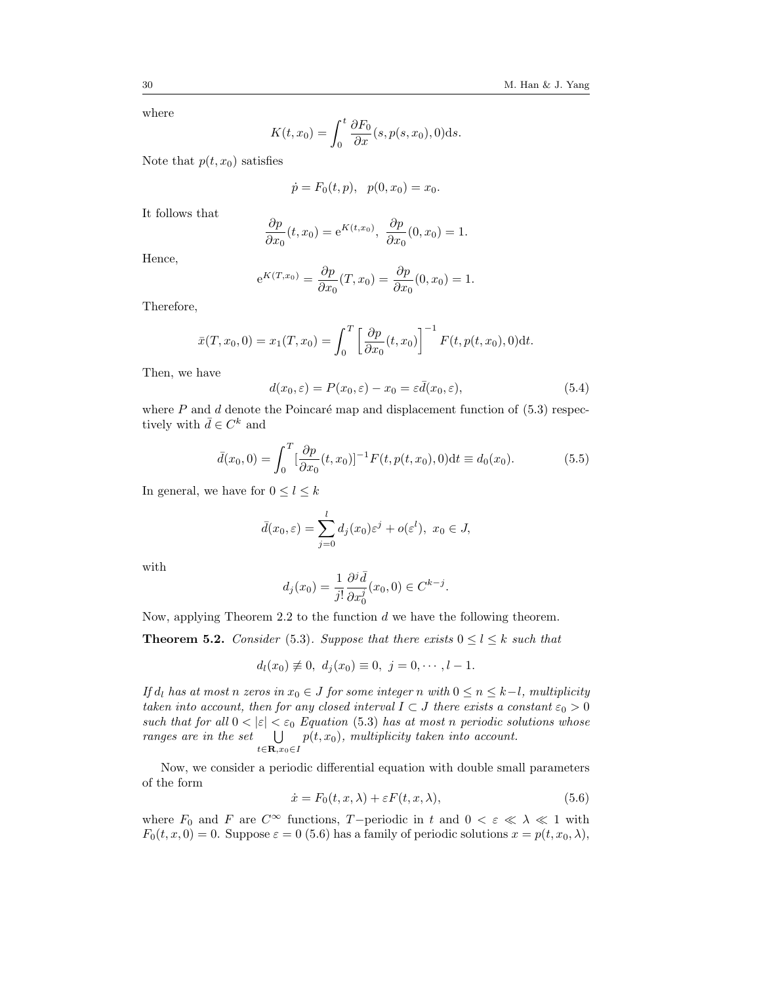where

$$
K(t, x_0) = \int_0^t \frac{\partial F_0}{\partial x}(s, p(s, x_0), 0) \mathrm{d}s.
$$

Note that  $p(t, x_0)$  satisfies

$$
\dot{p} = F_0(t, p), \ \ p(0, x_0) = x_0.
$$

It follows that

$$
\frac{\partial p}{\partial x_0}(t, x_0) = e^{K(t, x_0)}, \frac{\partial p}{\partial x_0}(0, x_0) = 1.
$$

Hence,

$$
e^{K(T,x_0)} = \frac{\partial p}{\partial x_0}(T,x_0) = \frac{\partial p}{\partial x_0}(0,x_0) = 1.
$$

Therefore,

$$
\bar{x}(T, x_0, 0) = x_1(T, x_0) = \int_0^T \left[ \frac{\partial p}{\partial x_0}(t, x_0) \right]^{-1} F(t, p(t, x_0), 0) dt.
$$

Then, we have

<span id="page-17-1"></span>
$$
d(x_0, \varepsilon) = P(x_0, \varepsilon) - x_0 = \varepsilon \bar{d}(x_0, \varepsilon), \tag{5.4}
$$

where  $P$  and  $d$  denote the Poincaré map and displacement function of  $(5.3)$  respectively with  $\bar{d} \in C^k$  and

<span id="page-17-2"></span>
$$
\bar{d}(x_0, 0) = \int_0^T \left[\frac{\partial p}{\partial x_0}(t, x_0)\right]^{-1} F(t, p(t, x_0), 0) \, \mathrm{d}t \equiv d_0(x_0). \tag{5.5}
$$

In general, we have for  $0 \leq l \leq k$ 

$$
\bar{d}(x_0,\varepsilon)=\sum_{j=0}^l d_j(x_0)\varepsilon^j+o(\varepsilon^l),\ x_0\in J,
$$

with

$$
d_j(x_0) = \frac{1}{j!} \frac{\partial^j \bar{d}}{\partial x_0^j}(x_0, 0) \in C^{k-j}.
$$

Now, applying Theorem 2.2 to the function d we have the following theorem.

**Theorem 5.2.** Consider [\(5.3\)](#page-16-1). Suppose that there exists  $0 \le l \le k$  such that

$$
d_l(x_0) \neq 0, \ d_j(x_0) \equiv 0, \ j = 0, \cdots, l-1.
$$

If  $d_l$  has at most n zeros in  $x_0 \in J$  for some integer n with  $0 \leq n \leq k-l$ , multiplicity taken into account, then for any closed interval  $I \subset J$  there exists a constant  $\varepsilon_0 > 0$ such that for all  $0 < |\varepsilon| < \varepsilon_0$  Equation [\(5.3\)](#page-16-1) has at most n periodic solutions whose ranges are in the set  $t \in \mathbf{R}$ , $x_0 \in I$  $p(t, x_0)$ , multiplicity taken into account.

Now, we consider a periodic differential equation with double small parameters of the form

<span id="page-17-0"></span>
$$
\dot{x} = F_0(t, x, \lambda) + \varepsilon F(t, x, \lambda),\tag{5.6}
$$

where  $F_0$  and F are  $C^{\infty}$  functions, T-periodic in t and  $0 < \varepsilon \ll \lambda \ll 1$  with  $F_0(t, x, 0) = 0$ . Suppose  $\varepsilon = 0$  [\(5.6\)](#page-17-0) has a family of periodic solutions  $x = p(t, x_0, \lambda)$ ,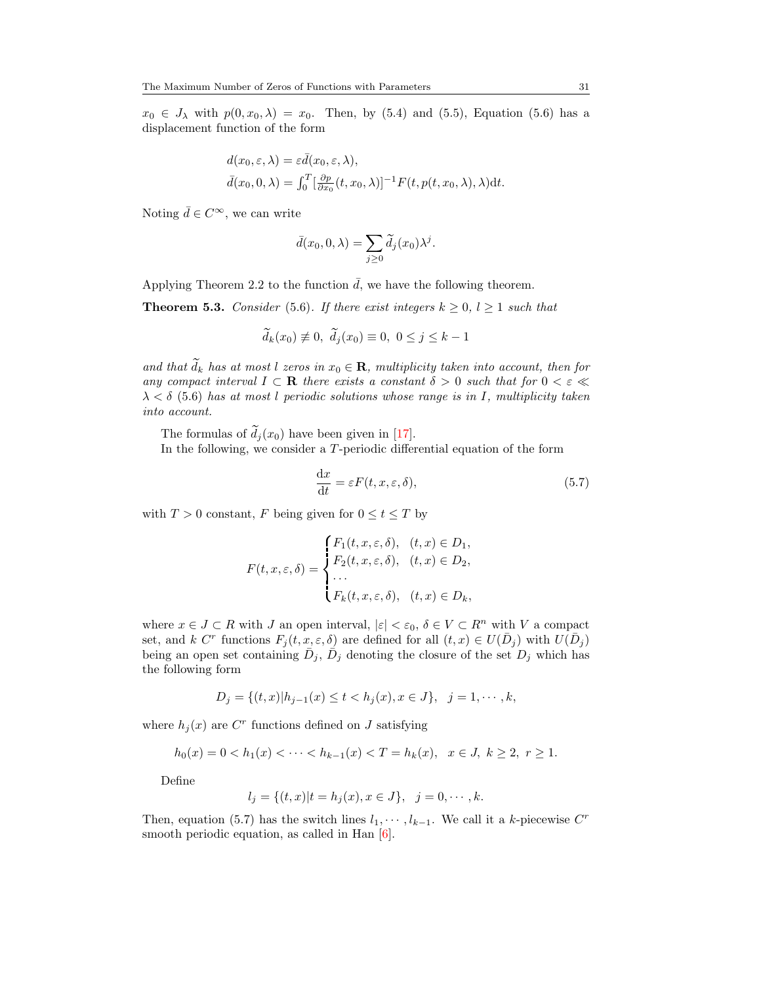$x_0 \in J_\lambda$  with  $p(0, x_0, \lambda) = x_0$ . Then, by [\(5.4\)](#page-17-1) and [\(5.5\)](#page-17-2), Equation [\(5.6\)](#page-17-0) has a displacement function of the form

$$
d(x_0, \varepsilon, \lambda) = \varepsilon \bar{d}(x_0, \varepsilon, \lambda),
$$
  

$$
\bar{d}(x_0, 0, \lambda) = \int_0^T \left[\frac{\partial p}{\partial x_0}(t, x_0, \lambda)\right]^{-1} F(t, p(t, x_0, \lambda), \lambda) dt.
$$

Noting  $\bar{d} \in C^{\infty}$ , we can write

$$
\bar{d}(x_0, 0, \lambda) = \sum_{j \ge 0} \tilde{d}_j(x_0) \lambda^j.
$$

Applying Theorem [2.2](#page-3-0) to the function  $\overline{d}$ , we have the following theorem.

**Theorem 5.3.** Consider [\(5.6\)](#page-17-0). If there exist integers  $k \geq 0, l \geq 1$  such that

$$
\widetilde{d}_k(x_0) \neq 0, \ \widetilde{d}_j(x_0) \equiv 0, \ 0 \leq j \leq k-1
$$

and that  $\widetilde{d}_k$  has at most l zeros in  $x_0 \in \mathbf{R}$ , multiplicity taken into account, then for any compact interval  $I \subset \mathbf{R}$  there exists a constant  $\delta > 0$  such that for  $0 < \varepsilon \ll$  $\lambda < \delta$  [\(5.6\)](#page-17-0) has at most l periodic solutions whose range is in I, multiplicity taken into account.

The formulas of  $\tilde{d}_j(x_0)$  have been given in [\[17\]](#page-21-4).

In the following, we consider a T-periodic differential equation of the form

<span id="page-18-0"></span>
$$
\frac{\mathrm{d}x}{\mathrm{d}t} = \varepsilon F(t, x, \varepsilon, \delta),\tag{5.7}
$$

with  $T > 0$  constant, F being given for  $0 \le t \le T$  by

$$
F(t, x, \varepsilon, \delta) = \begin{cases} F_1(t, x, \varepsilon, \delta), & (t, x) \in D_1, \\ F_2(t, x, \varepsilon, \delta), & (t, x) \in D_2, \\ \dots \\ F_k(t, x, \varepsilon, \delta), & (t, x) \in D_k, \end{cases}
$$

where  $x \in J \subset R$  with J an open interval,  $|\varepsilon| < \varepsilon_0$ ,  $\delta \in V \subset R^n$  with V a compact set, and k C<sup>r</sup> functions  $F_j(t, x, \varepsilon, \delta)$  are defined for all  $(t, x) \in U(\overline{D}_j)$  with  $U(\overline{D}_j)$ being an open set containing  $\bar{D}_j$ ,  $\bar{D}_j$  denoting the closure of the set  $D_j$  which has the following form

$$
D_j = \{(t, x)|h_{j-1}(x) \le t < h_j(x), x \in J\}, \quad j = 1, \cdots, k,
$$

where  $h_j(x)$  are  $C^r$  functions defined on J satisfying

$$
h_0(x) = 0 < h_1(x) < \cdots < h_{k-1}(x) < T = h_k(x), \quad x \in J, \ k \ge 2, \ r \ge 1.
$$

Define

$$
l_j = \{(t, x)|t = h_j(x), x \in J\}, \ \ j = 0, \cdots, k.
$$

Then, equation [\(5.7\)](#page-18-0) has the switch lines  $l_1, \dots, l_{k-1}$ . We call it a k-piecewise  $C^r$ smooth periodic equation, as called in Han  $[6]$ .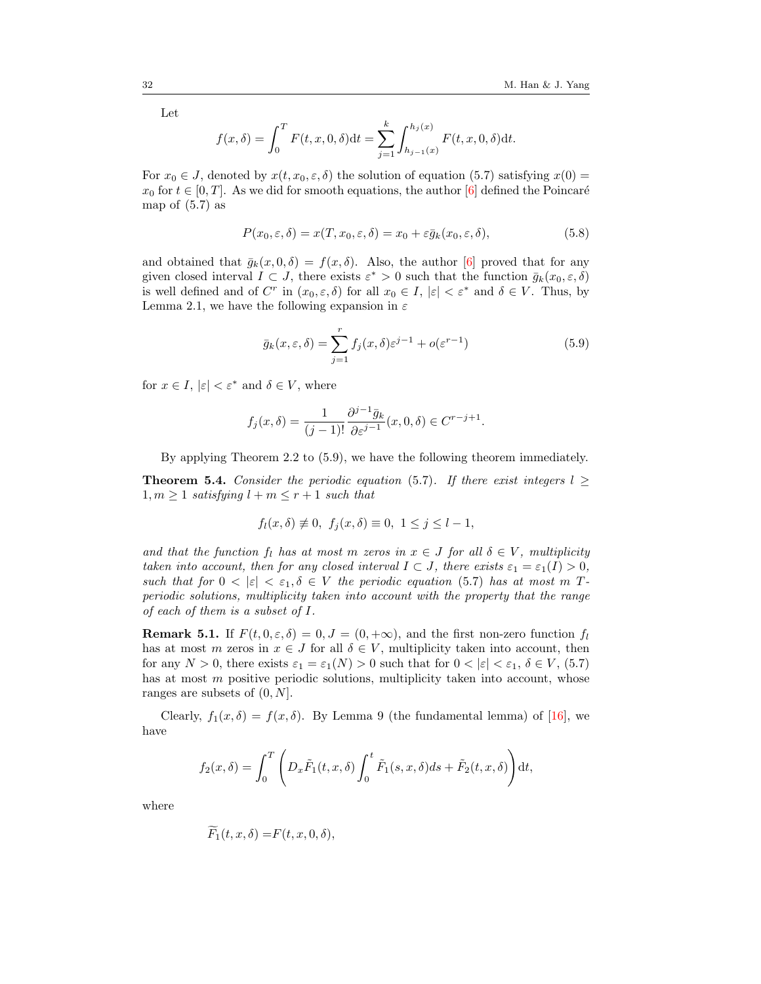Let

$$
f(x,\delta) = \int_0^T F(t,x,0,\delta)dt = \sum_{j=1}^k \int_{h_{j-1}(x)}^{h_j(x)} F(t,x,0,\delta)dt.
$$

For  $x_0 \in J$ , denoted by  $x(t, x_0, \varepsilon, \delta)$  the solution of equation [\(5.7\)](#page-18-0) satisfying  $x(0)$  =  $x_0$  for  $t \in [0, T]$ . As we did for smooth equations, the author [\[6\]](#page-20-3) defined the Poincaré map of  $(5.7)$  as

$$
P(x_0, \varepsilon, \delta) = x(T, x_0, \varepsilon, \delta) = x_0 + \varepsilon \bar{g}_k(x_0, \varepsilon, \delta),
$$
\n(5.8)

and obtained that  $\bar{q}_k(x, 0, \delta) = f(x, \delta)$ . Also, the author [\[6\]](#page-20-3) proved that for any given closed interval  $I \subset J$ , there exists  $\varepsilon^* > 0$  such that the function  $\bar{g}_k(x_0, \varepsilon, \delta)$ is well defined and of  $C^r$  in  $(x_0, \varepsilon, \delta)$  for all  $x_0 \in I$ ,  $|\varepsilon| < \varepsilon^*$  and  $\delta \in V$ . Thus, by Lemma [2.1,](#page-1-0) we have the following expansion in  $\varepsilon$ 

<span id="page-19-0"></span>
$$
\bar{g}_k(x,\varepsilon,\delta) = \sum_{j=1}^r f_j(x,\delta) \varepsilon^{j-1} + o(\varepsilon^{r-1})
$$
\n(5.9)

for  $x \in I$ ,  $|\varepsilon| < \varepsilon^*$  and  $\delta \in V$ , where

$$
f_j(x,\delta) = \frac{1}{(j-1)!} \frac{\partial^{j-1} \bar{g}_k}{\partial \varepsilon^{j-1}}(x,0,\delta) \in C^{r-j+1}.
$$

By applying Theorem [2.2](#page-3-0) to [\(5.9\)](#page-19-0), we have the following theorem immediately.

**Theorem 5.4.** Consider the periodic equation [\(5.7\)](#page-18-0). If there exist integers  $l \geq$  $1, m \geq 1$  satisfying  $l + m \leq r + 1$  such that

$$
f_l(x,\delta) \neq 0, \ f_j(x,\delta) \equiv 0, \ 1 \leq j \leq l-1,
$$

and that the function  $f_l$  has at most m zeros in  $x \in J$  for all  $\delta \in V$ , multiplicity taken into account, then for any closed interval  $I \subset J$ , there exists  $\varepsilon_1 = \varepsilon_1(I) > 0$ , such that for  $0 < |\varepsilon| < \varepsilon_1, \delta \in V$  the periodic equation [\(5.7\)](#page-18-0) has at most m Tperiodic solutions, multiplicity taken into account with the property that the range of each of them is a subset of I.

**Remark 5.1.** If  $F(t, 0, \varepsilon, \delta) = 0, J = (0, +\infty)$ , and the first non-zero function  $f_l$ has at most m zeros in  $x \in J$  for all  $\delta \in V$ , multiplicity taken into account, then for any  $N > 0$ , there exists  $\varepsilon_1 = \varepsilon_1(N) > 0$  such that for  $0 < |\varepsilon| < \varepsilon_1$ ,  $\delta \in V$ , [\(5.7\)](#page-18-0) has at most m positive periodic solutions, multiplicity taken into account, whose ranges are subsets of (0, N].

Clearly,  $f_1(x, \delta) = f(x, \delta)$ . By Lemma 9 (the fundamental lemma) of [\[16\]](#page-21-5), we have

$$
f_2(x,\delta) = \int_0^T \left( D_x \tilde{F}_1(t,x,\delta) \int_0^t \tilde{F}_1(s,x,\delta)ds + \tilde{F}_2(t,x,\delta) \right) dt,
$$

where

$$
\widetilde{F}_1(t, x, \delta) = F(t, x, 0, \delta),
$$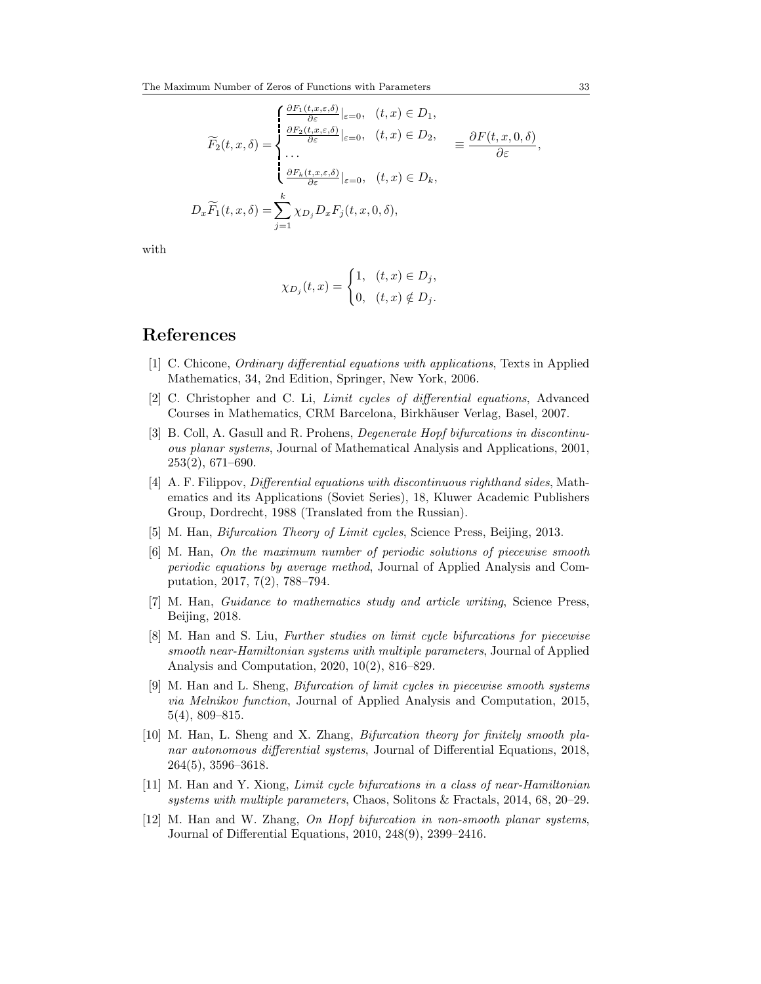$$
\widetilde{F}_2(t, x, \delta) = \begin{cases}\n\frac{\partial F_1(t, x, \varepsilon, \delta)}{\partial \varepsilon}|_{\varepsilon=0}, & (t, x) \in D_1, \\
\frac{\partial F_2(t, x, \varepsilon, \delta)}{\partial \varepsilon}|_{\varepsilon=0}, & (t, x) \in D_2, \\
\cdots \\
\frac{\partial F_k(t, x, \varepsilon, \delta)}{\partial \varepsilon}|_{\varepsilon=0}, & (t, x) \in D_k, \\
\vdots \\
D_x \widetilde{F}_1(t, x, \delta) = \sum_{j=1}^k \chi_{D_j} D_x F_j(t, x, 0, \delta),\n\end{cases} \equiv \frac{\partial F(t, x, 0, \delta)}{\partial \varepsilon},
$$

with

$$
\chi_{D_j}(t,x) = \begin{cases} 1, & (t,x) \in D_j, \\ 0, & (t,x) \notin D_j. \end{cases}
$$

#### <span id="page-20-0"></span>References

- <span id="page-20-5"></span>[1] C. Chicone, Ordinary differential equations with applications, Texts in Applied Mathematics, 34, 2nd Edition, Springer, New York, 2006.
- <span id="page-20-2"></span>[2] C. Christopher and C. Li, Limit cycles of differential equations, Advanced Courses in Mathematics, CRM Barcelona, Birkhäuser Verlag, Basel, 2007.
- <span id="page-20-9"></span>[3] B. Coll, A. Gasull and R. Prohens, Degenerate Hopf bifurcations in discontinuous planar systems, Journal of Mathematical Analysis and Applications, 2001, 253(2), 671–690.
- <span id="page-20-8"></span>[4] A. F. Filippov, *Differential equations with discontinuous righthand sides*, Mathematics and its Applications (Soviet Series), 18, Kluwer Academic Publishers Group, Dordrecht, 1988 (Translated from the Russian).
- <span id="page-20-1"></span>[5] M. Han, Bifurcation Theory of Limit cycles, Science Press, Beijing, 2013.
- <span id="page-20-3"></span>[6] M. Han, On the maximum number of periodic solutions of piecewise smooth periodic equations by average method, Journal of Applied Analysis and Computation, 2017, 7(2), 788–794.
- <span id="page-20-4"></span>[7] M. Han, Guidance to mathematics study and article writing, Science Press, Beijing, 2018.
- <span id="page-20-12"></span>[8] M. Han and S. Liu, Further studies on limit cycle bifurcations for piecewise smooth near-Hamiltonian systems with multiple parameters, Journal of Applied Analysis and Computation, 2020, 10(2), 816–829.
- <span id="page-20-11"></span>[9] M. Han and L. Sheng, Bifurcation of limit cycles in piecewise smooth systems via Melnikov function, Journal of Applied Analysis and Computation, 2015, 5(4), 809–815.
- <span id="page-20-6"></span>[10] M. Han, L. Sheng and X. Zhang, Bifurcation theory for finitely smooth planar autonomous differential systems, Journal of Differential Equations, 2018, 264(5), 3596–3618.
- <span id="page-20-7"></span>[11] M. Han and Y. Xiong, Limit cycle bifurcations in a class of near-Hamiltonian systems with multiple parameters, Chaos, Solitons & Fractals, 2014, 68, 20–29.
- <span id="page-20-10"></span>[12] M. Han and W. Zhang, On Hopf bifurcation in non-smooth planar systems, Journal of Differential Equations, 2010, 248(9), 2399–2416.